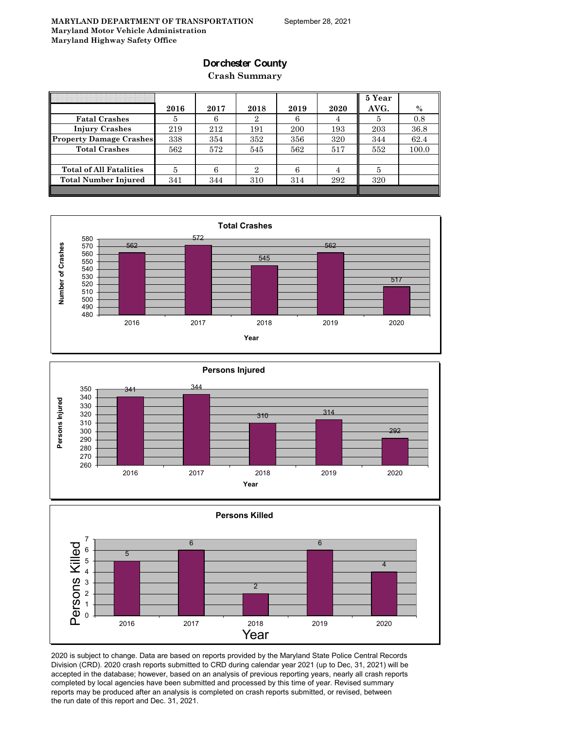### **Dorchester County**

**Crash Summary**

|                                | 2016 | 2017 | 2018 | 2019 | 2020 | 5 Year<br>AVG. | $\%$  |
|--------------------------------|------|------|------|------|------|----------------|-------|
| <b>Fatal Crashes</b>           | 5    | 6    | 2    |      |      | 5              | 0.8   |
| <b>Injury Crashes</b>          | 219  | 212  | 191  | 200  | 193  | 203            | 36.8  |
| <b>Property Damage Crashes</b> | 338  | 354  | 352  | 356  | 320  | 344            | 62.4  |
| <b>Total Crashes</b>           | 562  | 572  | 545  | 562  | 517  | 552            | 100.0 |
|                                |      |      |      |      |      |                |       |
| <b>Total of All Fatalities</b> | 5    |      | 2.   |      |      | 5              |       |
| <b>Total Number Injured</b>    | 341  | 344  | 310  | 314  | 292  | 320            |       |
|                                |      |      |      |      |      |                |       |







2020 is subject to change. Data are based on reports provided by the Maryland State Police Central Records Division (CRD). 2020 crash reports submitted to CRD during calendar year 2021 (up to Dec, 31, 2021) will be accepted in the database; however, based on an analysis of previous reporting years, nearly all crash reports completed by local agencies have been submitted and processed by this time of year. Revised summary reports may be produced after an analysis is completed on crash reports submitted, or revised, between the run date of this report and Dec. 31, 2021.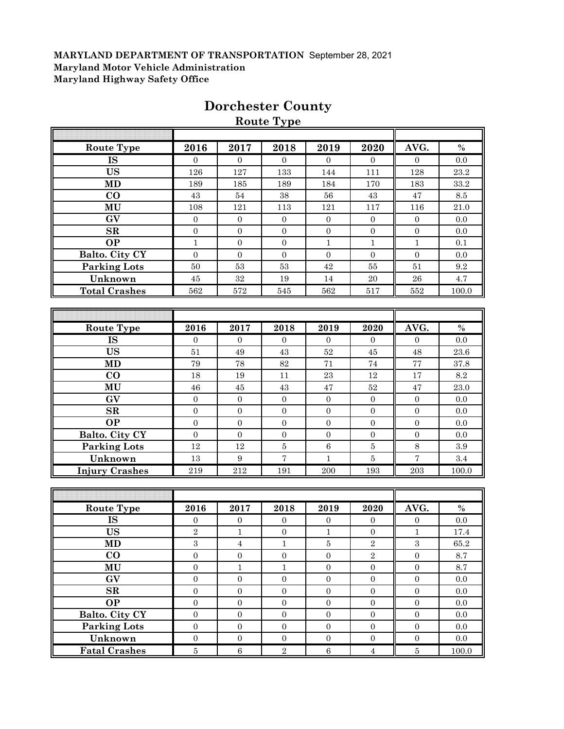|                        |                  |                  | <b>Route Type</b> |                  |                  |                  |                         |
|------------------------|------------------|------------------|-------------------|------------------|------------------|------------------|-------------------------|
| <b>Route Type</b>      | 2016             | 2017             | 2018              | 2019             | 2020             | AVG.             | $\%$                    |
| <b>IS</b>              | $\overline{0}$   | $\overline{0}$   | $\overline{0}$    | $\mathbf{0}$     | $\overline{0}$   | $\overline{0}$   | 0.0                     |
| <b>US</b>              | 126              | 127              | 133               | 144              | 111              | 128              | 23.2                    |
| <b>MD</b>              | 189              | 185              | 189               | 184              | 170              | 183              | 33.2                    |
| $\bf CO$               | 43               | $54\,$           | 38                | 56               | 43               | 47               | $\!\!\!\!\!8.5$         |
| MU                     | 108              | 121              | 113               | 121              | 117              | 116              | $21.0\,$                |
| GV                     | $\boldsymbol{0}$ | $\boldsymbol{0}$ | $\boldsymbol{0}$  | $\boldsymbol{0}$ | $\boldsymbol{0}$ | $\boldsymbol{0}$ | $0.0\,$                 |
| $\mathbf{SR}$          | $\boldsymbol{0}$ | $\boldsymbol{0}$ | $\boldsymbol{0}$  | $\boldsymbol{0}$ | $\boldsymbol{0}$ | $\boldsymbol{0}$ | 0.0                     |
| $\overline{OP}$        | $\mathbf{1}$     | $\boldsymbol{0}$ | $\boldsymbol{0}$  | $\mathbf{1}$     | $\mathbf 1$      | $\mathbf{1}$     | 0.1                     |
| Balto. City CY         | $\mathbf{0}$     | $\mathbf{0}$     | $\boldsymbol{0}$  | $\boldsymbol{0}$ | $\boldsymbol{0}$ | $\mathbf{0}$     | 0.0                     |
| <b>Parking Lots</b>    | $50\,$           | $53\,$           | 53                | $42\,$           | ${\bf 55}$       | 51               | 9.2                     |
| Unknown                | 45               | $32\,$           | 19                | $14\,$           | 20               | ${\bf 26}$       | 4.7                     |
| <b>Total Crashes</b>   | 562              | 572              | 545               | 562              | 517              | 552              | 100.0                   |
|                        |                  |                  |                   |                  |                  |                  |                         |
|                        |                  |                  |                   |                  |                  |                  |                         |
| <b>Route Type</b>      | 2016             | 2017             | 2018              | 2019             | 2020             | AVG.             | $\%$                    |
| <b>IS</b>              | $\mathbf{0}$     | $\mathbf{0}$     | $\boldsymbol{0}$  | $\overline{0}$   | $\mathbf{0}$     | $\boldsymbol{0}$ | 0.0                     |
| <b>US</b>              | 51               | 49               | 43                | $52\,$           | 45               | $\rm 48$         | $23.6\,$                |
| MD                     | $\bf 79$         | $78\,$           | 82                | $71\,$           | $74\,$           | 77               | 37.8                    |
| CO                     | 18               | 19               | 11                | 23               | $12\,$           | 17               | $\!\!\!\!\!8.2$         |
| MU                     | $\sqrt{46}$      | $\bf 45$         | 43                | $47\,$           | $52\,$           | 47               | 23.0                    |
| GV                     | $\boldsymbol{0}$ | $\boldsymbol{0}$ | $\boldsymbol{0}$  | $\boldsymbol{0}$ | $\mathbf{0}$     | $\mathbf{0}$     | 0.0                     |
| SR                     | $\boldsymbol{0}$ | $\boldsymbol{0}$ | $\boldsymbol{0}$  | $\boldsymbol{0}$ | $\mathbf{0}$     | $\overline{0}$   | 0.0                     |
| <b>OP</b>              | $\mathbf{0}$     | $\boldsymbol{0}$ | $\boldsymbol{0}$  | $\mathbf{0}$     | $\boldsymbol{0}$ | $\mathbf{0}$     | 0.0                     |
| Balto. City CY         | $\mathbf{0}$     | $\boldsymbol{0}$ | $\boldsymbol{0}$  | $\overline{0}$   | $\mathbf{0}$     | $\mathbf{0}$     | 0.0                     |
| <b>Parking Lots</b>    | 12               | 12               | $\bf 5$           | $6\phantom{1}$   | $\bf 5$          | $8\,$            | $\!.9$                  |
| Unknown                | 13               | 9                | $\overline{7}$    | $\mathbf{1}$     | $\bf 5$          | $\overline{7}$   | 3.4                     |
| <b>Injury Crashes</b>  | 219              | 212              | 191               | 200              | 193              | 203              | 100.0                   |
|                        |                  |                  |                   |                  |                  |                  |                         |
|                        |                  |                  |                   |                  |                  |                  |                         |
| <b>Route Type</b>      | 2016             | 2017             | 2018              | 2019             | 2020             | AVG.             | $\frac{0}{0}$           |
| $\overline{\text{IS}}$ | $\overline{0}$   | $\overline{0}$   | $\mathbf{0}$      | $\overline{0}$   | $\mathbf{0}$     | $\mathbf{0}$     | 0.0                     |
| <b>US</b>              | $\overline{2}$   | $\mathbf{1}$     | $\boldsymbol{0}$  | $\mathbf{1}$     | $\mathbf{0}$     | $\mathbf{1}$     | 17.4                    |
| <b>MD</b>              | $\mathbf{3}$     | $\overline{4}$   | $\mathbf{1}$      | $\overline{5}$   | $\sqrt{2}$       | $\boldsymbol{3}$ | 65.2                    |
| $\Omega$               | $\sim$           | $\Omega$         | $\sim$            | $\sim$           | $\Omega$         | $\Omega$         | $\Omega$ $\overline{z}$ |

# **Dorchester County**

| IS                   | $\theta$     | $\theta$ | $\Omega$ | $\Omega$ | $\Omega$       | $\Omega$ | 0.0   |
|----------------------|--------------|----------|----------|----------|----------------|----------|-------|
| <b>US</b>            | $\mathbf{2}$ |          | $\theta$ |          | $\Omega$       |          | 17.4  |
| <b>MD</b>            | 3            |          |          | 5        | $\overline{2}$ | 3        | 65.2  |
| $\bf CO$             | $\Omega$     | $\Omega$ | $\theta$ | $\Omega$ | $\overline{2}$ | $\Omega$ | 8.7   |
| MU                   | $\Omega$     |          |          | 0        | $\Omega$       | 0        | 8.7   |
| GV                   | $\Omega$     | $\Omega$ | $\theta$ | 0        | $\Omega$       | 0        | 0.0   |
| $\mathbf{SR}$        | $\Omega$     | $\Omega$ | $\theta$ | 0        | $\Omega$       | $\Omega$ | 0.0   |
| <b>OP</b>            | $\theta$     | $\Omega$ | $\theta$ | $\Omega$ | $\Omega$       | 0        | 0.0   |
| Balto. City CY       | $\Omega$     | $\Omega$ | 0        | 0        | $\Omega$       | 0        | 0.0   |
| <b>Parking Lots</b>  | $\Omega$     | $\Omega$ | $\Omega$ | 0        | $\Omega$       | $\Omega$ | 0.0   |
| Unknown              | $\Omega$     | $\Omega$ | $\theta$ | 0        | $\Omega$       |          | 0.0   |
| <b>Fatal Crashes</b> | 5            | ĥ        | $\Omega$ | 6        |                | 5        | 100.0 |
|                      |              |          |          |          |                |          |       |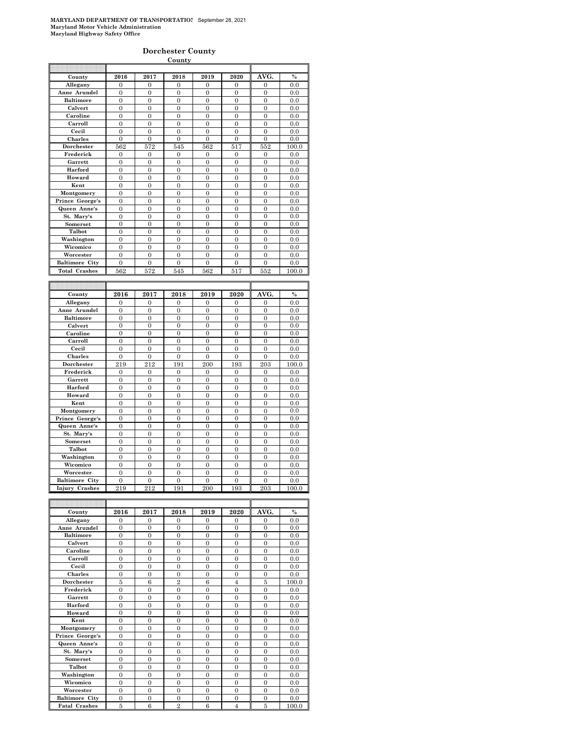#### **Dorchester County**

|                                         |                       |                       | <b>County</b>         |                       |                       |                       |              |
|-----------------------------------------|-----------------------|-----------------------|-----------------------|-----------------------|-----------------------|-----------------------|--------------|
|                                         |                       |                       |                       |                       |                       |                       |              |
| County                                  | 2016                  | 2017                  | 2018                  | 2019                  | 2020                  | AVG.                  | $\%$         |
| Allegany                                | $\Omega$              | $\theta$              | $\theta$              | $\Omega$              | $\Omega$              | $\Omega$              | 0.0          |
| Anne Arundel                            | $\overline{0}$        | $\overline{0}$        | $\mathbf{0}$          | $\boldsymbol{0}$      | $\mathbf{0}$          | $\overline{0}$        | 0.0          |
| <b>Baltimore</b>                        | $\mathbf{0}$          | $\overline{0}$        | $\overline{0}$        | $\overline{0}$        | $\overline{0}$        | $\overline{0}$        | 0.0          |
| Calvert                                 | $\overline{0}$        | $\overline{0}$        | $\overline{0}$        | $\overline{0}$        | $\overline{0}$        | $\overline{0}$        | 0.0          |
| Caroline                                | $\theta$              | $\theta$              | $\theta$              | $\theta$              | $\theta$              | $\theta$              | 0.0          |
| Carroll                                 | $\mathbf{0}$          | $\overline{0}$        | $\mathbf{0}$          | $\mathbf{0}$          | $\boldsymbol{0}$      | $\mathbf{0}$          | 0.0          |
| Cecil                                   | $\mathbf{0}$          | $\overline{0}$        | $\overline{0}$        | $\mathbf{0}$          | $\overline{0}$        | $\overline{0}$        | 0.0          |
| Charles                                 | $\theta$              | $\theta$              | $\theta$              | $\theta$              | $\theta$              | $\Omega$              | 0.0          |
| Dorchester                              | 562                   | 572                   | 545                   | 562                   | 517                   | 552                   | 100.0        |
| Frederick                               | 0                     | $\boldsymbol{0}$      | $\mathbf{0}$          | $\bf{0}$              | $\boldsymbol{0}$      | $\boldsymbol{0}$      | 0.0          |
| Garrett                                 | $\overline{0}$        | $\overline{0}$        | $\overline{0}$        | $\overline{0}$        | $\overline{0}$        | $\overline{0}$        | 0.0          |
| Harford                                 | $\overline{0}$        | $\theta$              | $\overline{0}$        | $\overline{0}$        | $\overline{0}$        | $\theta$              | 0.0          |
| Howard                                  | $\mathbf{0}$          | $\mathbf{0}$          | $\mathbf{0}$          | $\boldsymbol{0}$      | $\boldsymbol{0}$      | $\mathbf{0}$          | 0.0          |
| Kent                                    | $\overline{0}$        | $\overline{0}$        | $\overline{0}$        | $\overline{0}$        | $\overline{0}$        | $\overline{0}$        | 0.0          |
| Montgomery                              | $\overline{0}$        | $\overline{0}$        | $\overline{0}$        | $\overline{0}$        | $\overline{0}$        | $\mathbf{0}$          | 0.0          |
| Prince George's                         | $\boldsymbol{0}$      | $\boldsymbol{0}$      | $\mathbf{0}$          | $\boldsymbol{0}$      | $\Omega$              | $\theta$              | 0.0          |
| Queen Anne's                            | $\mathbf{0}$          | $\overline{0}$        | $\mathbf{0}$          | $\mathbf{0}$          | $\boldsymbol{0}$      | $\mathbf{0}$          | 0.0          |
| St. Mary's                              | $\overline{0}$        | $\overline{0}$        | $\overline{0}$        | $\overline{0}$        | $\overline{0}$        | $\overline{0}$        | 0.0          |
| Somerset                                | $\overline{0}$        | $\theta$              | $\theta$              | $\overline{0}$        | $\theta$              | $\theta$              | 0.0          |
| Talbot                                  | $\boldsymbol{0}$      | $\mathbf{0}$          | $\mathbf{0}$          | $\mathbf{0}$          | $\boldsymbol{0}$      | $\theta$              | 0.0          |
| Washington                              | $\overline{0}$        | $\overline{0}$        | $\mathbf{0}$          | $\overline{0}$        | $\overline{0}$        | $\mathbf{0}$          | 0.0          |
| Wicomico                                | $\overline{0}$        | $\overline{0}$        | $\overline{0}$        | $\overline{0}$        | $\overline{0}$        | $\overline{0}$        | 0.0          |
| Worcester                               | $\overline{0}$        | $\overline{0}$        | $\theta$              | $\overline{0}$        | $\Omega$              | $\theta$              | 0.0          |
| <b>Baltimore City</b>                   | $\boldsymbol{0}$      | $\mathbf{0}$          | $\mathbf{0}$          | $\boldsymbol{0}$      | $\boldsymbol{0}$      | $\boldsymbol{0}$      | 0.0          |
| <b>Total Crashes</b>                    | 562                   | 572                   | 545                   | 562                   | 517                   | 552                   | 100.0        |
|                                         |                       |                       |                       |                       |                       |                       |              |
|                                         |                       |                       |                       |                       |                       |                       |              |
|                                         |                       |                       |                       |                       |                       |                       |              |
| County                                  | 2016                  | 2017                  | 2018                  | 2019                  | 2020                  | AVG.                  | $\%$         |
| Allegany                                | $\overline{0}$        | $\overline{0}$        | $\overline{0}$        | $\overline{0}$        | $\overline{0}$        | $\overline{0}$        | 0.0          |
| Anne Arundel                            | $\overline{0}$        | $\theta$              | $\theta$              | $\overline{0}$        | $\theta$              | $\Omega$              | 0.0          |
| <b>Baltimore</b>                        | $\overline{0}$        | $\overline{0}$        | $\overline{0}$        | $\boldsymbol{0}$      | $\overline{0}$        | $\mathbf{0}$          | 0.0          |
| Calvert                                 | $\mathbf{0}$          | $\boldsymbol{0}$      | $\mathbf{0}$          | $\boldsymbol{0}$      | $\boldsymbol{0}$      | $\mathbf{0}$          | 0.0          |
| Caroline                                | $\overline{0}$        | $\overline{0}$        | $\overline{0}$        | $\overline{0}$        | $\overline{0}$        | $\overline{0}$        | 0.0          |
| Carroll                                 | $\overline{0}$        | $\theta$              | $\theta$              | $\theta$              | $\theta$              | $\theta$              | 0.0          |
| Cecil                                   | $\boldsymbol{0}$      | $\overline{0}$        | $\mathbf{0}$          | $\mathbf{0}$          | $\boldsymbol{0}$      | $\mathbf{0}$          | 0.0          |
| Charles                                 | $\mathbf{0}$          | $\overline{0}$        | $\overline{0}$        | $\mathbf{0}$          | $\overline{0}$        | $\overline{0}$        | 0.0          |
| Dorchester                              | 219                   | 212                   | 191                   | 200                   | 193                   | 203                   | 100.0        |
| Frederick                               | $\boldsymbol{0}$      | $\mathbf{0}$          | $\mathbf{0}$          | $\mathbf{0}$          | $\overline{0}$        | $\overline{0}$        | 0.0          |
| Garrett                                 | $\boldsymbol{0}$      | $\mathbf{0}$          | $\mathbf{0}$          | $\mathbf{0}$          | $\boldsymbol{0}$      | $\boldsymbol{0}$      | 0.0          |
| Harford                                 | $\overline{0}$        | $\overline{0}$        | $\overline{0}$        | $\overline{0}$        | $\overline{0}$        | $\overline{0}$        | 0.0          |
| Howard                                  | $\overline{0}$        | $\theta$              | $\theta$              | $\overline{0}$        | $\overline{0}$        | $\Omega$              | 0.0          |
| Kent                                    | $\overline{0}$        | $\overline{0}$        | $\mathbf{0}$          | $\overline{0}$        | $\overline{0}$        | $\overline{0}$        | 0.0          |
| Montgomery                              | $\overline{0}$        | $\overline{0}$        | $\overline{0}$        | $\overline{0}$        | $\overline{0}$        | $\overline{0}$        | 0.0          |
| Prince George's                         | $\overline{0}$        | $\overline{0}$        | $\overline{0}$        | $\overline{0}$        | $\overline{0}$        | $\overline{0}$        | 0.0          |
| Queen Anne's                            | $\theta$              | $\overline{0}$        | $\overline{0}$        | $\overline{0}$        | $\theta$              | $\theta$              | 0.0          |
| St. Mary's                              | $\mathbf{0}$          | $\overline{0}$        | $\mathbf{0}$          | $\mathbf{0}$          | $\boldsymbol{0}$      | $\mathbf{0}$          | 0.0          |
| Somerset                                | $\overline{0}$        | $\mathbf{0}$          | $\mathbf{0}$          | $\mathbf{0}$          | $\mathbf{0}$          | $\boldsymbol{0}$      | 0.0          |
| Talbot                                  | $\overline{0}$        | $\theta$              | $\theta$              | $\overline{0}$        | $\theta$              | $\theta$              | 0.0          |
| Washington                              | $\boldsymbol{0}$      | $\mathbf{0}$          | $\mathbf{0}$          | $\mathbf{0}$          | $\boldsymbol{0}$      | $\boldsymbol{0}$      | 0.0          |
| Wicomico                                | $\mathbf{0}$          | $\overline{0}$        | $\overline{0}$        | $\mathbf{0}$          | $\mathbf{0}$          | $\overline{0}$        | 0.0          |
| Worcester                               | $\overline{0}$        | $\overline{0}$        | $\overline{0}$        | $\overline{0}$        | $\overline{0}$        | $\overline{0}$        | 0.0          |
| <b>Baltimore City</b><br>Injury Crashes | $\overline{0}$<br>219 | $\overline{0}$<br>212 | $\overline{0}$<br>191 | $\overline{0}$<br>200 | $\overline{0}$<br>193 | $\overline{0}$<br>203 | 0.0<br>100.0 |

| County                | 2016           | 2017     | 2018           | 2019         | 2020           | AVG.           | $\%$  |
|-----------------------|----------------|----------|----------------|--------------|----------------|----------------|-------|
| Allegany              | $\mathbf{0}$   | $\Omega$ | $\Omega$       | $\mathbf{0}$ | $\theta$       | $\overline{0}$ | 0.0   |
| Anne Arundel          | $\theta$       | $\theta$ | $\Omega$       | $\Omega$     | $\theta$       | $\theta$       | 0.0   |
| <b>Baltimore</b>      | $\mathbf{0}$   | $\theta$ | $\theta$       | $\Omega$     | $\overline{0}$ | $\overline{0}$ | 0.0   |
| Calvert               | $\overline{0}$ | $\Omega$ | $\Omega$       | $\Omega$     | $\overline{0}$ | $\overline{0}$ | 0.0   |
| Caroline              | $\theta$       | $\theta$ | $\theta$       | $\theta$     | $\theta$       | $\theta$       | 0.0   |
| Carroll               | $\theta$       | $\theta$ | $\Omega$       | $\Omega$     | $\theta$       | $\overline{0}$ | 0.0   |
| Cecil                 | $\overline{0}$ | $\theta$ | $\theta$       | $\theta$     | $\theta$       | $\overline{0}$ | 0.0   |
| <b>Charles</b>        | $\theta$       | $\theta$ | $\theta$       | $\theta$     | $\theta$       | $\overline{0}$ | 0.0   |
| Dorchester            | 5              | 6        | $\overline{2}$ | 6            | $\overline{4}$ | 5              | 100.0 |
| Frederick             | $\theta$       | $\Omega$ | $\Omega$       | $\theta$     | $\theta$       | $\overline{0}$ | 0.0   |
| Garrett               | $\theta$       | $\theta$ | $\theta$       | $\theta$     | $\theta$       | $\overline{0}$ | 0.0   |
| Harford               | $\overline{0}$ | $\Omega$ | $\Omega$       | $\Omega$     | $\overline{0}$ | $\overline{0}$ | 0.0   |
| Howard                | $\theta$       | $\theta$ | $\theta$       | $\theta$     | $\theta$       | $\theta$       | 0.0   |
| Kent                  | $\theta$       | $\Omega$ | $\Omega$       | $\Omega$     | $\overline{0}$ | $\overline{0}$ | 0.0   |
| Montgomery            | $\theta$       | $\theta$ | $\theta$       | $\theta$     | $\theta$       | $\theta$       | 0.0   |
| Prince George's       | $\theta$       | $\theta$ | $\theta$       | $\Omega$     | $\theta$       | $\theta$       | 0.0   |
| Queen Anne's          | $\theta$       | $\theta$ | $\theta$       | $\theta$     | $\theta$       | $\theta$       | 0.0   |
| St. Mary's            | $\theta$       | $\theta$ | $\theta$       | $\theta$     | $\theta$       | $\overline{0}$ | 0.0   |
| <b>Somerset</b>       | $\theta$       | $\Omega$ | $\Omega$       | $\Omega$     | $\theta$       | $\theta$       | 0.0   |
| Talbot                | $\theta$       | $\theta$ | $\theta$       | $\Omega$     | $\theta$       | $\overline{0}$ | 0.0   |
| Washington            | $\theta$       | $\Omega$ | $\Omega$       | $\Omega$     | $\theta$       | $\theta$       | 0.0   |
| Wicomico              | $\theta$       | $\theta$ | $\theta$       | $\Omega$     | $\theta$       | $\overline{0}$ | 0.0   |
| Worcester             | $\theta$       | $\Omega$ | $\Omega$       | $\theta$     | $\theta$       | $\overline{0}$ | 0.0   |
| <b>Baltimore City</b> | $\theta$       | $\theta$ | $\theta$       | $\Omega$     | $\theta$       | $\theta$       | 0.0   |
| <b>Fatal Crashes</b>  | 5              | 6        | $\overline{2}$ | 6            | $\overline{4}$ | 5              | 100.0 |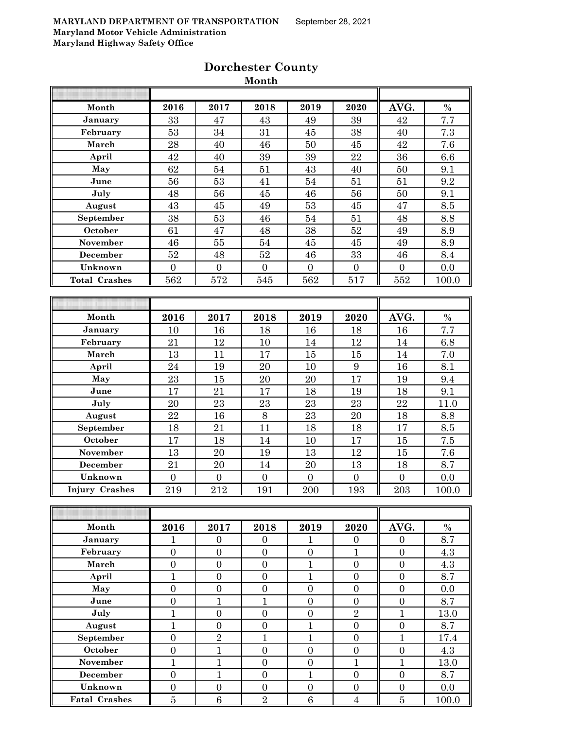| AVG.<br>$\%$<br>Month<br>2016<br>2017<br>2018<br>2019<br>2020<br>$\overline{7.7}$<br>33<br>39<br>42<br>47<br>43<br>January<br>49<br>53<br>7.3<br>$34\,$<br>31<br>45<br>38<br>40<br>February<br>28<br>March<br>40<br>46<br>$50\,$<br>45<br>42<br>7.6<br>42<br>22<br>36<br>6.6<br>40<br>$39\,$<br>39<br>April<br>62<br>$51\,$<br>54<br>$50\,$<br>9.1<br>May<br>43<br>40<br>56<br>53<br>9.2<br>June<br>41<br>$54\,$<br>51<br>51<br>July<br>48<br>56<br>46<br>56<br>$50\,$<br>9.1<br>45<br>43<br>8.5<br>45<br>53<br>45<br>47<br>August<br>49<br>38<br>53<br>54<br>51<br>48<br>8.8<br>September<br>46<br>October<br>61<br>38<br>8.9<br>47<br>$52\,$<br>49<br>48<br>46<br>November<br>55<br>54<br>45<br>45<br>49<br>8.9<br>$52\,$<br>$33\,$<br>8.4<br>December<br>48<br>$52\,$<br>46<br>46<br>Unknown<br>$\boldsymbol{0}$<br>$\overline{0}$<br>$\overline{0}$<br>$\overline{0}$<br>$\boldsymbol{0}$<br>0.0<br>$\boldsymbol{0}$<br>562<br>572<br>545<br>562<br>517<br>552<br><b>Total Crashes</b><br>100.0<br>$\%$<br>Month<br>2016<br>2017<br>2018<br>2019<br>AVG.<br>2020<br>$\overline{7.7}$<br>16<br>16<br>16<br>18<br>18<br>January<br>10<br>21<br>6.8<br>$12\,$<br>$10\,$<br>12<br>14<br>February<br>14<br>13<br>7.0<br>March<br>11<br>15<br>15<br>14<br>17<br>24<br>19<br>$\boldsymbol{9}$<br>16<br>8.1<br>April<br>20<br>10<br>23<br>15<br>17<br>20<br>20<br>9.4<br>May<br>19<br>June<br>17<br>21<br>17<br>18<br>19<br>18<br>9.1<br>20<br>23<br>23<br>23<br>23<br>22<br>11.0<br>July<br>22<br>16<br>$8\,$<br>23<br>$20\,$<br>18<br>8.8<br>August<br>21<br>17<br>18<br>11<br>8.5<br>September<br>18<br>18<br>$7.5\,$<br>October<br>17<br>17<br>18<br>15<br>14<br>10<br>13<br>20<br>7.6<br>November<br>19<br>12<br>15<br>13<br>21<br>$20\,$<br>18<br>8.7<br>December<br>$14\,$<br>$20\,$<br>13<br>Unknown<br>$\overline{0}$<br>$\overline{0}$<br>$\boldsymbol{0}$<br>$\boldsymbol{0}$<br>$\boldsymbol{0}$<br>$\boldsymbol{0}$<br>0.0<br>212<br>219<br>191<br>200<br>193<br>203<br>100.0<br><b>Injury Crashes</b><br>$\%$<br>Month<br>2017<br>2019<br>2016<br>2018<br>2020<br>AVG.<br>$\overline{8.7}$<br>January<br>1<br>$\mathbf{0}$<br>$\overline{0}$<br>1<br>$\boldsymbol{0}$<br>$\Omega$<br>$\mathbf{1}$<br>February<br>$\boldsymbol{0}$<br>$\overline{0}$<br>$\boldsymbol{0}$<br>$\boldsymbol{0}$<br>$\boldsymbol{0}$<br>4.3<br>$\mathbf{1}$<br>March<br>$\boldsymbol{0}$<br>$\boldsymbol{0}$<br>$\boldsymbol{0}$<br>$\boldsymbol{0}$<br>$\boldsymbol{0}$<br>4.3<br>$\mathbf{1}$<br>$\boldsymbol{0}$<br>$\mathbf{1}$<br>$\boldsymbol{0}$<br>April<br>$\boldsymbol{0}$<br>$\boldsymbol{0}$<br>8.7<br>$\overline{0}$<br>$\overline{0}$<br>$\boldsymbol{0}$<br>$\boldsymbol{0}$<br>$\overline{0}$<br>$\overline{0}$<br>May<br>0.0<br>$\mathbf{1}$<br>$\mathbf{1}$<br>$\boldsymbol{0}$<br>June<br>$\boldsymbol{0}$<br>$\boldsymbol{0}$<br>$\boldsymbol{0}$<br>8.7<br>$\overline{2}$<br>$\mathbf{1}$<br>$\overline{0}$<br>$\overline{0}$<br>$\overline{0}$<br>$\mathbf{1}$<br>July<br>13.0<br>August<br>1<br>$\boldsymbol{0}$<br>$\boldsymbol{0}$<br>$\mathbf{1}$<br>$\boldsymbol{0}$<br>$\boldsymbol{0}$<br>8.7<br>$\sqrt{2}$<br>$\mathbf{1}$<br>September<br>$\overline{0}$<br>$\mathbf{1}$<br>$\mathbf{1}$<br>$\overline{0}$<br>17.4<br>October<br>$\mathbf{1}$<br>$\overline{0}$<br>$\boldsymbol{0}$<br>$\overline{0}$<br>$\overline{0}$<br>$\overline{0}$<br>4.3<br>$\mathbf{1}$<br>$\mathbf{1}$<br>$\mathbf{1}$<br>$\mathbf{1}$<br>November<br>$\boldsymbol{0}$<br>$\boldsymbol{0}$<br>13.0<br>$\mathbf{1}$<br>$\mathbf{1}$<br>$\overline{0}$<br><b>December</b><br>$\boldsymbol{0}$<br>$\boldsymbol{0}$<br>$\boldsymbol{0}$<br>8.7<br>Unknown<br>$\boldsymbol{0}$<br>$\boldsymbol{0}$<br>$\boldsymbol{0}$<br>$\boldsymbol{0}$<br>$\boldsymbol{0}$<br>$\boldsymbol{0}$<br>0.0<br>$\overline{5}$<br>$\sqrt{6}$<br>$\overline{2}$<br>6<br>$\overline{5}$<br><b>Fatal Crashes</b><br>$\overline{4}$<br>100.0 |  | wionth |  |  |
|----------------------------------------------------------------------------------------------------------------------------------------------------------------------------------------------------------------------------------------------------------------------------------------------------------------------------------------------------------------------------------------------------------------------------------------------------------------------------------------------------------------------------------------------------------------------------------------------------------------------------------------------------------------------------------------------------------------------------------------------------------------------------------------------------------------------------------------------------------------------------------------------------------------------------------------------------------------------------------------------------------------------------------------------------------------------------------------------------------------------------------------------------------------------------------------------------------------------------------------------------------------------------------------------------------------------------------------------------------------------------------------------------------------------------------------------------------------------------------------------------------------------------------------------------------------------------------------------------------------------------------------------------------------------------------------------------------------------------------------------------------------------------------------------------------------------------------------------------------------------------------------------------------------------------------------------------------------------------------------------------------------------------------------------------------------------------------------------------------------------------------------------------------------------------------------------------------------------------------------------------------------------------------------------------------------------------------------------------------------------------------------------------------------------------------------------------------------------------------------------------------------------------------------------------------------------------------------------------------------------------------------------------------------------------------------------------------------------------------------------------------------------------------------------------------------------------------------------------------------------------------------------------------------------------------------------------------------------------------------------------------------------------------------------------------------------------------------------------------------------------------------------------------------------------------------------------------------------------------------------------------------------------------------------------------------------------------------------------------------------------------------------------------------------------------------------------------------------------------------------------------------------------------------------------------------------------------------------------------------------------------------------------------------------------------------------------------------------------------------------------------------------------------------------------------------------------------------------------------------------------------------------------------------|--|--------|--|--|
|                                                                                                                                                                                                                                                                                                                                                                                                                                                                                                                                                                                                                                                                                                                                                                                                                                                                                                                                                                                                                                                                                                                                                                                                                                                                                                                                                                                                                                                                                                                                                                                                                                                                                                                                                                                                                                                                                                                                                                                                                                                                                                                                                                                                                                                                                                                                                                                                                                                                                                                                                                                                                                                                                                                                                                                                                                                                                                                                                                                                                                                                                                                                                                                                                                                                                                                                                                                                                                                                                                                                                                                                                                                                                                                                                                                                                                                                                                                |  |        |  |  |
|                                                                                                                                                                                                                                                                                                                                                                                                                                                                                                                                                                                                                                                                                                                                                                                                                                                                                                                                                                                                                                                                                                                                                                                                                                                                                                                                                                                                                                                                                                                                                                                                                                                                                                                                                                                                                                                                                                                                                                                                                                                                                                                                                                                                                                                                                                                                                                                                                                                                                                                                                                                                                                                                                                                                                                                                                                                                                                                                                                                                                                                                                                                                                                                                                                                                                                                                                                                                                                                                                                                                                                                                                                                                                                                                                                                                                                                                                                                |  |        |  |  |
|                                                                                                                                                                                                                                                                                                                                                                                                                                                                                                                                                                                                                                                                                                                                                                                                                                                                                                                                                                                                                                                                                                                                                                                                                                                                                                                                                                                                                                                                                                                                                                                                                                                                                                                                                                                                                                                                                                                                                                                                                                                                                                                                                                                                                                                                                                                                                                                                                                                                                                                                                                                                                                                                                                                                                                                                                                                                                                                                                                                                                                                                                                                                                                                                                                                                                                                                                                                                                                                                                                                                                                                                                                                                                                                                                                                                                                                                                                                |  |        |  |  |
|                                                                                                                                                                                                                                                                                                                                                                                                                                                                                                                                                                                                                                                                                                                                                                                                                                                                                                                                                                                                                                                                                                                                                                                                                                                                                                                                                                                                                                                                                                                                                                                                                                                                                                                                                                                                                                                                                                                                                                                                                                                                                                                                                                                                                                                                                                                                                                                                                                                                                                                                                                                                                                                                                                                                                                                                                                                                                                                                                                                                                                                                                                                                                                                                                                                                                                                                                                                                                                                                                                                                                                                                                                                                                                                                                                                                                                                                                                                |  |        |  |  |
|                                                                                                                                                                                                                                                                                                                                                                                                                                                                                                                                                                                                                                                                                                                                                                                                                                                                                                                                                                                                                                                                                                                                                                                                                                                                                                                                                                                                                                                                                                                                                                                                                                                                                                                                                                                                                                                                                                                                                                                                                                                                                                                                                                                                                                                                                                                                                                                                                                                                                                                                                                                                                                                                                                                                                                                                                                                                                                                                                                                                                                                                                                                                                                                                                                                                                                                                                                                                                                                                                                                                                                                                                                                                                                                                                                                                                                                                                                                |  |        |  |  |
|                                                                                                                                                                                                                                                                                                                                                                                                                                                                                                                                                                                                                                                                                                                                                                                                                                                                                                                                                                                                                                                                                                                                                                                                                                                                                                                                                                                                                                                                                                                                                                                                                                                                                                                                                                                                                                                                                                                                                                                                                                                                                                                                                                                                                                                                                                                                                                                                                                                                                                                                                                                                                                                                                                                                                                                                                                                                                                                                                                                                                                                                                                                                                                                                                                                                                                                                                                                                                                                                                                                                                                                                                                                                                                                                                                                                                                                                                                                |  |        |  |  |
|                                                                                                                                                                                                                                                                                                                                                                                                                                                                                                                                                                                                                                                                                                                                                                                                                                                                                                                                                                                                                                                                                                                                                                                                                                                                                                                                                                                                                                                                                                                                                                                                                                                                                                                                                                                                                                                                                                                                                                                                                                                                                                                                                                                                                                                                                                                                                                                                                                                                                                                                                                                                                                                                                                                                                                                                                                                                                                                                                                                                                                                                                                                                                                                                                                                                                                                                                                                                                                                                                                                                                                                                                                                                                                                                                                                                                                                                                                                |  |        |  |  |
|                                                                                                                                                                                                                                                                                                                                                                                                                                                                                                                                                                                                                                                                                                                                                                                                                                                                                                                                                                                                                                                                                                                                                                                                                                                                                                                                                                                                                                                                                                                                                                                                                                                                                                                                                                                                                                                                                                                                                                                                                                                                                                                                                                                                                                                                                                                                                                                                                                                                                                                                                                                                                                                                                                                                                                                                                                                                                                                                                                                                                                                                                                                                                                                                                                                                                                                                                                                                                                                                                                                                                                                                                                                                                                                                                                                                                                                                                                                |  |        |  |  |
|                                                                                                                                                                                                                                                                                                                                                                                                                                                                                                                                                                                                                                                                                                                                                                                                                                                                                                                                                                                                                                                                                                                                                                                                                                                                                                                                                                                                                                                                                                                                                                                                                                                                                                                                                                                                                                                                                                                                                                                                                                                                                                                                                                                                                                                                                                                                                                                                                                                                                                                                                                                                                                                                                                                                                                                                                                                                                                                                                                                                                                                                                                                                                                                                                                                                                                                                                                                                                                                                                                                                                                                                                                                                                                                                                                                                                                                                                                                |  |        |  |  |
|                                                                                                                                                                                                                                                                                                                                                                                                                                                                                                                                                                                                                                                                                                                                                                                                                                                                                                                                                                                                                                                                                                                                                                                                                                                                                                                                                                                                                                                                                                                                                                                                                                                                                                                                                                                                                                                                                                                                                                                                                                                                                                                                                                                                                                                                                                                                                                                                                                                                                                                                                                                                                                                                                                                                                                                                                                                                                                                                                                                                                                                                                                                                                                                                                                                                                                                                                                                                                                                                                                                                                                                                                                                                                                                                                                                                                                                                                                                |  |        |  |  |
|                                                                                                                                                                                                                                                                                                                                                                                                                                                                                                                                                                                                                                                                                                                                                                                                                                                                                                                                                                                                                                                                                                                                                                                                                                                                                                                                                                                                                                                                                                                                                                                                                                                                                                                                                                                                                                                                                                                                                                                                                                                                                                                                                                                                                                                                                                                                                                                                                                                                                                                                                                                                                                                                                                                                                                                                                                                                                                                                                                                                                                                                                                                                                                                                                                                                                                                                                                                                                                                                                                                                                                                                                                                                                                                                                                                                                                                                                                                |  |        |  |  |
|                                                                                                                                                                                                                                                                                                                                                                                                                                                                                                                                                                                                                                                                                                                                                                                                                                                                                                                                                                                                                                                                                                                                                                                                                                                                                                                                                                                                                                                                                                                                                                                                                                                                                                                                                                                                                                                                                                                                                                                                                                                                                                                                                                                                                                                                                                                                                                                                                                                                                                                                                                                                                                                                                                                                                                                                                                                                                                                                                                                                                                                                                                                                                                                                                                                                                                                                                                                                                                                                                                                                                                                                                                                                                                                                                                                                                                                                                                                |  |        |  |  |
|                                                                                                                                                                                                                                                                                                                                                                                                                                                                                                                                                                                                                                                                                                                                                                                                                                                                                                                                                                                                                                                                                                                                                                                                                                                                                                                                                                                                                                                                                                                                                                                                                                                                                                                                                                                                                                                                                                                                                                                                                                                                                                                                                                                                                                                                                                                                                                                                                                                                                                                                                                                                                                                                                                                                                                                                                                                                                                                                                                                                                                                                                                                                                                                                                                                                                                                                                                                                                                                                                                                                                                                                                                                                                                                                                                                                                                                                                                                |  |        |  |  |
|                                                                                                                                                                                                                                                                                                                                                                                                                                                                                                                                                                                                                                                                                                                                                                                                                                                                                                                                                                                                                                                                                                                                                                                                                                                                                                                                                                                                                                                                                                                                                                                                                                                                                                                                                                                                                                                                                                                                                                                                                                                                                                                                                                                                                                                                                                                                                                                                                                                                                                                                                                                                                                                                                                                                                                                                                                                                                                                                                                                                                                                                                                                                                                                                                                                                                                                                                                                                                                                                                                                                                                                                                                                                                                                                                                                                                                                                                                                |  |        |  |  |
|                                                                                                                                                                                                                                                                                                                                                                                                                                                                                                                                                                                                                                                                                                                                                                                                                                                                                                                                                                                                                                                                                                                                                                                                                                                                                                                                                                                                                                                                                                                                                                                                                                                                                                                                                                                                                                                                                                                                                                                                                                                                                                                                                                                                                                                                                                                                                                                                                                                                                                                                                                                                                                                                                                                                                                                                                                                                                                                                                                                                                                                                                                                                                                                                                                                                                                                                                                                                                                                                                                                                                                                                                                                                                                                                                                                                                                                                                                                |  |        |  |  |
|                                                                                                                                                                                                                                                                                                                                                                                                                                                                                                                                                                                                                                                                                                                                                                                                                                                                                                                                                                                                                                                                                                                                                                                                                                                                                                                                                                                                                                                                                                                                                                                                                                                                                                                                                                                                                                                                                                                                                                                                                                                                                                                                                                                                                                                                                                                                                                                                                                                                                                                                                                                                                                                                                                                                                                                                                                                                                                                                                                                                                                                                                                                                                                                                                                                                                                                                                                                                                                                                                                                                                                                                                                                                                                                                                                                                                                                                                                                |  |        |  |  |
|                                                                                                                                                                                                                                                                                                                                                                                                                                                                                                                                                                                                                                                                                                                                                                                                                                                                                                                                                                                                                                                                                                                                                                                                                                                                                                                                                                                                                                                                                                                                                                                                                                                                                                                                                                                                                                                                                                                                                                                                                                                                                                                                                                                                                                                                                                                                                                                                                                                                                                                                                                                                                                                                                                                                                                                                                                                                                                                                                                                                                                                                                                                                                                                                                                                                                                                                                                                                                                                                                                                                                                                                                                                                                                                                                                                                                                                                                                                |  |        |  |  |
|                                                                                                                                                                                                                                                                                                                                                                                                                                                                                                                                                                                                                                                                                                                                                                                                                                                                                                                                                                                                                                                                                                                                                                                                                                                                                                                                                                                                                                                                                                                                                                                                                                                                                                                                                                                                                                                                                                                                                                                                                                                                                                                                                                                                                                                                                                                                                                                                                                                                                                                                                                                                                                                                                                                                                                                                                                                                                                                                                                                                                                                                                                                                                                                                                                                                                                                                                                                                                                                                                                                                                                                                                                                                                                                                                                                                                                                                                                                |  |        |  |  |
|                                                                                                                                                                                                                                                                                                                                                                                                                                                                                                                                                                                                                                                                                                                                                                                                                                                                                                                                                                                                                                                                                                                                                                                                                                                                                                                                                                                                                                                                                                                                                                                                                                                                                                                                                                                                                                                                                                                                                                                                                                                                                                                                                                                                                                                                                                                                                                                                                                                                                                                                                                                                                                                                                                                                                                                                                                                                                                                                                                                                                                                                                                                                                                                                                                                                                                                                                                                                                                                                                                                                                                                                                                                                                                                                                                                                                                                                                                                |  |        |  |  |
|                                                                                                                                                                                                                                                                                                                                                                                                                                                                                                                                                                                                                                                                                                                                                                                                                                                                                                                                                                                                                                                                                                                                                                                                                                                                                                                                                                                                                                                                                                                                                                                                                                                                                                                                                                                                                                                                                                                                                                                                                                                                                                                                                                                                                                                                                                                                                                                                                                                                                                                                                                                                                                                                                                                                                                                                                                                                                                                                                                                                                                                                                                                                                                                                                                                                                                                                                                                                                                                                                                                                                                                                                                                                                                                                                                                                                                                                                                                |  |        |  |  |
|                                                                                                                                                                                                                                                                                                                                                                                                                                                                                                                                                                                                                                                                                                                                                                                                                                                                                                                                                                                                                                                                                                                                                                                                                                                                                                                                                                                                                                                                                                                                                                                                                                                                                                                                                                                                                                                                                                                                                                                                                                                                                                                                                                                                                                                                                                                                                                                                                                                                                                                                                                                                                                                                                                                                                                                                                                                                                                                                                                                                                                                                                                                                                                                                                                                                                                                                                                                                                                                                                                                                                                                                                                                                                                                                                                                                                                                                                                                |  |        |  |  |
|                                                                                                                                                                                                                                                                                                                                                                                                                                                                                                                                                                                                                                                                                                                                                                                                                                                                                                                                                                                                                                                                                                                                                                                                                                                                                                                                                                                                                                                                                                                                                                                                                                                                                                                                                                                                                                                                                                                                                                                                                                                                                                                                                                                                                                                                                                                                                                                                                                                                                                                                                                                                                                                                                                                                                                                                                                                                                                                                                                                                                                                                                                                                                                                                                                                                                                                                                                                                                                                                                                                                                                                                                                                                                                                                                                                                                                                                                                                |  |        |  |  |
|                                                                                                                                                                                                                                                                                                                                                                                                                                                                                                                                                                                                                                                                                                                                                                                                                                                                                                                                                                                                                                                                                                                                                                                                                                                                                                                                                                                                                                                                                                                                                                                                                                                                                                                                                                                                                                                                                                                                                                                                                                                                                                                                                                                                                                                                                                                                                                                                                                                                                                                                                                                                                                                                                                                                                                                                                                                                                                                                                                                                                                                                                                                                                                                                                                                                                                                                                                                                                                                                                                                                                                                                                                                                                                                                                                                                                                                                                                                |  |        |  |  |
|                                                                                                                                                                                                                                                                                                                                                                                                                                                                                                                                                                                                                                                                                                                                                                                                                                                                                                                                                                                                                                                                                                                                                                                                                                                                                                                                                                                                                                                                                                                                                                                                                                                                                                                                                                                                                                                                                                                                                                                                                                                                                                                                                                                                                                                                                                                                                                                                                                                                                                                                                                                                                                                                                                                                                                                                                                                                                                                                                                                                                                                                                                                                                                                                                                                                                                                                                                                                                                                                                                                                                                                                                                                                                                                                                                                                                                                                                                                |  |        |  |  |
|                                                                                                                                                                                                                                                                                                                                                                                                                                                                                                                                                                                                                                                                                                                                                                                                                                                                                                                                                                                                                                                                                                                                                                                                                                                                                                                                                                                                                                                                                                                                                                                                                                                                                                                                                                                                                                                                                                                                                                                                                                                                                                                                                                                                                                                                                                                                                                                                                                                                                                                                                                                                                                                                                                                                                                                                                                                                                                                                                                                                                                                                                                                                                                                                                                                                                                                                                                                                                                                                                                                                                                                                                                                                                                                                                                                                                                                                                                                |  |        |  |  |
|                                                                                                                                                                                                                                                                                                                                                                                                                                                                                                                                                                                                                                                                                                                                                                                                                                                                                                                                                                                                                                                                                                                                                                                                                                                                                                                                                                                                                                                                                                                                                                                                                                                                                                                                                                                                                                                                                                                                                                                                                                                                                                                                                                                                                                                                                                                                                                                                                                                                                                                                                                                                                                                                                                                                                                                                                                                                                                                                                                                                                                                                                                                                                                                                                                                                                                                                                                                                                                                                                                                                                                                                                                                                                                                                                                                                                                                                                                                |  |        |  |  |
|                                                                                                                                                                                                                                                                                                                                                                                                                                                                                                                                                                                                                                                                                                                                                                                                                                                                                                                                                                                                                                                                                                                                                                                                                                                                                                                                                                                                                                                                                                                                                                                                                                                                                                                                                                                                                                                                                                                                                                                                                                                                                                                                                                                                                                                                                                                                                                                                                                                                                                                                                                                                                                                                                                                                                                                                                                                                                                                                                                                                                                                                                                                                                                                                                                                                                                                                                                                                                                                                                                                                                                                                                                                                                                                                                                                                                                                                                                                |  |        |  |  |
|                                                                                                                                                                                                                                                                                                                                                                                                                                                                                                                                                                                                                                                                                                                                                                                                                                                                                                                                                                                                                                                                                                                                                                                                                                                                                                                                                                                                                                                                                                                                                                                                                                                                                                                                                                                                                                                                                                                                                                                                                                                                                                                                                                                                                                                                                                                                                                                                                                                                                                                                                                                                                                                                                                                                                                                                                                                                                                                                                                                                                                                                                                                                                                                                                                                                                                                                                                                                                                                                                                                                                                                                                                                                                                                                                                                                                                                                                                                |  |        |  |  |
|                                                                                                                                                                                                                                                                                                                                                                                                                                                                                                                                                                                                                                                                                                                                                                                                                                                                                                                                                                                                                                                                                                                                                                                                                                                                                                                                                                                                                                                                                                                                                                                                                                                                                                                                                                                                                                                                                                                                                                                                                                                                                                                                                                                                                                                                                                                                                                                                                                                                                                                                                                                                                                                                                                                                                                                                                                                                                                                                                                                                                                                                                                                                                                                                                                                                                                                                                                                                                                                                                                                                                                                                                                                                                                                                                                                                                                                                                                                |  |        |  |  |
|                                                                                                                                                                                                                                                                                                                                                                                                                                                                                                                                                                                                                                                                                                                                                                                                                                                                                                                                                                                                                                                                                                                                                                                                                                                                                                                                                                                                                                                                                                                                                                                                                                                                                                                                                                                                                                                                                                                                                                                                                                                                                                                                                                                                                                                                                                                                                                                                                                                                                                                                                                                                                                                                                                                                                                                                                                                                                                                                                                                                                                                                                                                                                                                                                                                                                                                                                                                                                                                                                                                                                                                                                                                                                                                                                                                                                                                                                                                |  |        |  |  |
|                                                                                                                                                                                                                                                                                                                                                                                                                                                                                                                                                                                                                                                                                                                                                                                                                                                                                                                                                                                                                                                                                                                                                                                                                                                                                                                                                                                                                                                                                                                                                                                                                                                                                                                                                                                                                                                                                                                                                                                                                                                                                                                                                                                                                                                                                                                                                                                                                                                                                                                                                                                                                                                                                                                                                                                                                                                                                                                                                                                                                                                                                                                                                                                                                                                                                                                                                                                                                                                                                                                                                                                                                                                                                                                                                                                                                                                                                                                |  |        |  |  |
|                                                                                                                                                                                                                                                                                                                                                                                                                                                                                                                                                                                                                                                                                                                                                                                                                                                                                                                                                                                                                                                                                                                                                                                                                                                                                                                                                                                                                                                                                                                                                                                                                                                                                                                                                                                                                                                                                                                                                                                                                                                                                                                                                                                                                                                                                                                                                                                                                                                                                                                                                                                                                                                                                                                                                                                                                                                                                                                                                                                                                                                                                                                                                                                                                                                                                                                                                                                                                                                                                                                                                                                                                                                                                                                                                                                                                                                                                                                |  |        |  |  |
|                                                                                                                                                                                                                                                                                                                                                                                                                                                                                                                                                                                                                                                                                                                                                                                                                                                                                                                                                                                                                                                                                                                                                                                                                                                                                                                                                                                                                                                                                                                                                                                                                                                                                                                                                                                                                                                                                                                                                                                                                                                                                                                                                                                                                                                                                                                                                                                                                                                                                                                                                                                                                                                                                                                                                                                                                                                                                                                                                                                                                                                                                                                                                                                                                                                                                                                                                                                                                                                                                                                                                                                                                                                                                                                                                                                                                                                                                                                |  |        |  |  |
|                                                                                                                                                                                                                                                                                                                                                                                                                                                                                                                                                                                                                                                                                                                                                                                                                                                                                                                                                                                                                                                                                                                                                                                                                                                                                                                                                                                                                                                                                                                                                                                                                                                                                                                                                                                                                                                                                                                                                                                                                                                                                                                                                                                                                                                                                                                                                                                                                                                                                                                                                                                                                                                                                                                                                                                                                                                                                                                                                                                                                                                                                                                                                                                                                                                                                                                                                                                                                                                                                                                                                                                                                                                                                                                                                                                                                                                                                                                |  |        |  |  |
|                                                                                                                                                                                                                                                                                                                                                                                                                                                                                                                                                                                                                                                                                                                                                                                                                                                                                                                                                                                                                                                                                                                                                                                                                                                                                                                                                                                                                                                                                                                                                                                                                                                                                                                                                                                                                                                                                                                                                                                                                                                                                                                                                                                                                                                                                                                                                                                                                                                                                                                                                                                                                                                                                                                                                                                                                                                                                                                                                                                                                                                                                                                                                                                                                                                                                                                                                                                                                                                                                                                                                                                                                                                                                                                                                                                                                                                                                                                |  |        |  |  |
|                                                                                                                                                                                                                                                                                                                                                                                                                                                                                                                                                                                                                                                                                                                                                                                                                                                                                                                                                                                                                                                                                                                                                                                                                                                                                                                                                                                                                                                                                                                                                                                                                                                                                                                                                                                                                                                                                                                                                                                                                                                                                                                                                                                                                                                                                                                                                                                                                                                                                                                                                                                                                                                                                                                                                                                                                                                                                                                                                                                                                                                                                                                                                                                                                                                                                                                                                                                                                                                                                                                                                                                                                                                                                                                                                                                                                                                                                                                |  |        |  |  |
|                                                                                                                                                                                                                                                                                                                                                                                                                                                                                                                                                                                                                                                                                                                                                                                                                                                                                                                                                                                                                                                                                                                                                                                                                                                                                                                                                                                                                                                                                                                                                                                                                                                                                                                                                                                                                                                                                                                                                                                                                                                                                                                                                                                                                                                                                                                                                                                                                                                                                                                                                                                                                                                                                                                                                                                                                                                                                                                                                                                                                                                                                                                                                                                                                                                                                                                                                                                                                                                                                                                                                                                                                                                                                                                                                                                                                                                                                                                |  |        |  |  |
|                                                                                                                                                                                                                                                                                                                                                                                                                                                                                                                                                                                                                                                                                                                                                                                                                                                                                                                                                                                                                                                                                                                                                                                                                                                                                                                                                                                                                                                                                                                                                                                                                                                                                                                                                                                                                                                                                                                                                                                                                                                                                                                                                                                                                                                                                                                                                                                                                                                                                                                                                                                                                                                                                                                                                                                                                                                                                                                                                                                                                                                                                                                                                                                                                                                                                                                                                                                                                                                                                                                                                                                                                                                                                                                                                                                                                                                                                                                |  |        |  |  |
|                                                                                                                                                                                                                                                                                                                                                                                                                                                                                                                                                                                                                                                                                                                                                                                                                                                                                                                                                                                                                                                                                                                                                                                                                                                                                                                                                                                                                                                                                                                                                                                                                                                                                                                                                                                                                                                                                                                                                                                                                                                                                                                                                                                                                                                                                                                                                                                                                                                                                                                                                                                                                                                                                                                                                                                                                                                                                                                                                                                                                                                                                                                                                                                                                                                                                                                                                                                                                                                                                                                                                                                                                                                                                                                                                                                                                                                                                                                |  |        |  |  |
|                                                                                                                                                                                                                                                                                                                                                                                                                                                                                                                                                                                                                                                                                                                                                                                                                                                                                                                                                                                                                                                                                                                                                                                                                                                                                                                                                                                                                                                                                                                                                                                                                                                                                                                                                                                                                                                                                                                                                                                                                                                                                                                                                                                                                                                                                                                                                                                                                                                                                                                                                                                                                                                                                                                                                                                                                                                                                                                                                                                                                                                                                                                                                                                                                                                                                                                                                                                                                                                                                                                                                                                                                                                                                                                                                                                                                                                                                                                |  |        |  |  |
|                                                                                                                                                                                                                                                                                                                                                                                                                                                                                                                                                                                                                                                                                                                                                                                                                                                                                                                                                                                                                                                                                                                                                                                                                                                                                                                                                                                                                                                                                                                                                                                                                                                                                                                                                                                                                                                                                                                                                                                                                                                                                                                                                                                                                                                                                                                                                                                                                                                                                                                                                                                                                                                                                                                                                                                                                                                                                                                                                                                                                                                                                                                                                                                                                                                                                                                                                                                                                                                                                                                                                                                                                                                                                                                                                                                                                                                                                                                |  |        |  |  |
|                                                                                                                                                                                                                                                                                                                                                                                                                                                                                                                                                                                                                                                                                                                                                                                                                                                                                                                                                                                                                                                                                                                                                                                                                                                                                                                                                                                                                                                                                                                                                                                                                                                                                                                                                                                                                                                                                                                                                                                                                                                                                                                                                                                                                                                                                                                                                                                                                                                                                                                                                                                                                                                                                                                                                                                                                                                                                                                                                                                                                                                                                                                                                                                                                                                                                                                                                                                                                                                                                                                                                                                                                                                                                                                                                                                                                                                                                                                |  |        |  |  |
|                                                                                                                                                                                                                                                                                                                                                                                                                                                                                                                                                                                                                                                                                                                                                                                                                                                                                                                                                                                                                                                                                                                                                                                                                                                                                                                                                                                                                                                                                                                                                                                                                                                                                                                                                                                                                                                                                                                                                                                                                                                                                                                                                                                                                                                                                                                                                                                                                                                                                                                                                                                                                                                                                                                                                                                                                                                                                                                                                                                                                                                                                                                                                                                                                                                                                                                                                                                                                                                                                                                                                                                                                                                                                                                                                                                                                                                                                                                |  |        |  |  |
|                                                                                                                                                                                                                                                                                                                                                                                                                                                                                                                                                                                                                                                                                                                                                                                                                                                                                                                                                                                                                                                                                                                                                                                                                                                                                                                                                                                                                                                                                                                                                                                                                                                                                                                                                                                                                                                                                                                                                                                                                                                                                                                                                                                                                                                                                                                                                                                                                                                                                                                                                                                                                                                                                                                                                                                                                                                                                                                                                                                                                                                                                                                                                                                                                                                                                                                                                                                                                                                                                                                                                                                                                                                                                                                                                                                                                                                                                                                |  |        |  |  |
|                                                                                                                                                                                                                                                                                                                                                                                                                                                                                                                                                                                                                                                                                                                                                                                                                                                                                                                                                                                                                                                                                                                                                                                                                                                                                                                                                                                                                                                                                                                                                                                                                                                                                                                                                                                                                                                                                                                                                                                                                                                                                                                                                                                                                                                                                                                                                                                                                                                                                                                                                                                                                                                                                                                                                                                                                                                                                                                                                                                                                                                                                                                                                                                                                                                                                                                                                                                                                                                                                                                                                                                                                                                                                                                                                                                                                                                                                                                |  |        |  |  |
|                                                                                                                                                                                                                                                                                                                                                                                                                                                                                                                                                                                                                                                                                                                                                                                                                                                                                                                                                                                                                                                                                                                                                                                                                                                                                                                                                                                                                                                                                                                                                                                                                                                                                                                                                                                                                                                                                                                                                                                                                                                                                                                                                                                                                                                                                                                                                                                                                                                                                                                                                                                                                                                                                                                                                                                                                                                                                                                                                                                                                                                                                                                                                                                                                                                                                                                                                                                                                                                                                                                                                                                                                                                                                                                                                                                                                                                                                                                |  |        |  |  |
|                                                                                                                                                                                                                                                                                                                                                                                                                                                                                                                                                                                                                                                                                                                                                                                                                                                                                                                                                                                                                                                                                                                                                                                                                                                                                                                                                                                                                                                                                                                                                                                                                                                                                                                                                                                                                                                                                                                                                                                                                                                                                                                                                                                                                                                                                                                                                                                                                                                                                                                                                                                                                                                                                                                                                                                                                                                                                                                                                                                                                                                                                                                                                                                                                                                                                                                                                                                                                                                                                                                                                                                                                                                                                                                                                                                                                                                                                                                |  |        |  |  |
|                                                                                                                                                                                                                                                                                                                                                                                                                                                                                                                                                                                                                                                                                                                                                                                                                                                                                                                                                                                                                                                                                                                                                                                                                                                                                                                                                                                                                                                                                                                                                                                                                                                                                                                                                                                                                                                                                                                                                                                                                                                                                                                                                                                                                                                                                                                                                                                                                                                                                                                                                                                                                                                                                                                                                                                                                                                                                                                                                                                                                                                                                                                                                                                                                                                                                                                                                                                                                                                                                                                                                                                                                                                                                                                                                                                                                                                                                                                |  |        |  |  |
|                                                                                                                                                                                                                                                                                                                                                                                                                                                                                                                                                                                                                                                                                                                                                                                                                                                                                                                                                                                                                                                                                                                                                                                                                                                                                                                                                                                                                                                                                                                                                                                                                                                                                                                                                                                                                                                                                                                                                                                                                                                                                                                                                                                                                                                                                                                                                                                                                                                                                                                                                                                                                                                                                                                                                                                                                                                                                                                                                                                                                                                                                                                                                                                                                                                                                                                                                                                                                                                                                                                                                                                                                                                                                                                                                                                                                                                                                                                |  |        |  |  |
|                                                                                                                                                                                                                                                                                                                                                                                                                                                                                                                                                                                                                                                                                                                                                                                                                                                                                                                                                                                                                                                                                                                                                                                                                                                                                                                                                                                                                                                                                                                                                                                                                                                                                                                                                                                                                                                                                                                                                                                                                                                                                                                                                                                                                                                                                                                                                                                                                                                                                                                                                                                                                                                                                                                                                                                                                                                                                                                                                                                                                                                                                                                                                                                                                                                                                                                                                                                                                                                                                                                                                                                                                                                                                                                                                                                                                                                                                                                |  |        |  |  |

### **Dorchester County Month**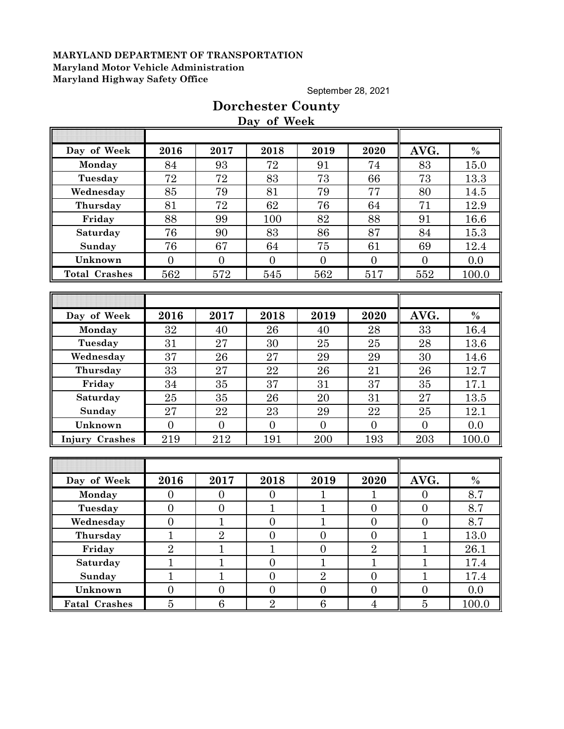September 28, 2021

|                       |                  |                  | Day of Week      |                 |                  |                  |               |
|-----------------------|------------------|------------------|------------------|-----------------|------------------|------------------|---------------|
|                       |                  |                  |                  |                 |                  |                  |               |
| Day of Week           | 2016             | 2017             | 2018             | 2019            | 2020             | AVG.             | $\%$          |
| Monday                | 84               | 93               | 72               | 91              | 74               | 83               | 15.0          |
| Tuesday               | 72               | 72               | 83               | 73              | 66               | 73               | 13.3          |
| Wednesday             | 85               | 79               | 81               | 79              | 77               | 80               | 14.5          |
| Thursday              | 81               | 72               | 62               | 76              | 64               | 71               | 12.9          |
| Friday                | 88               | 99               | 100              | 82              | 88               | 91               | 16.6          |
| Saturday              | 76               | 90               | 83               | 86              | 87               | 84               | 15.3          |
| Sunday                | 76               | 67               | 64               | 75              | 61               | 69               | 12.4          |
| Unknown               | $\overline{0}$   | $\overline{0}$   | $\overline{0}$   | $\overline{0}$  | $\overline{0}$   | $\overline{0}$   | 0.0           |
| <b>Total Crashes</b>  | 562              | 572              | 545              | 562             | 517              | 552              | 100.0         |
|                       |                  |                  |                  |                 |                  |                  |               |
|                       |                  |                  |                  |                 |                  |                  |               |
| Day of Week           | 2016             | 2017             | 2018             | 2019            | 2020             | AVG.             | $\frac{0}{0}$ |
| Monday                | 32               | 40               | 26               | 40              | 28               | 33               | 16.4          |
| Tuesday               | 31               | 27               | 30               | 25              | 25               | 28               | 13.6          |
| Wednesday             | 37               | 26               | 27               | 29              | 29               | 30               | 14.6          |
| Thursday              | 33               | 27               | 22               | 26              | 21               | 26               | 12.7          |
| Friday                | 34               | 35               | 37               | 31              | 37               | 35               | 17.1          |
| Saturday              | 25               | 35               | 26               | 20              | 31               | 27               | 13.5          |
| Sunday                | 27               | 22               | 23               | 29              | 22               | 25               | 12.1          |
| Unknown               | $\overline{0}$   | $\overline{0}$   | $\mathbf{0}$     | $\overline{0}$  | $\mathbf{0}$     | $\overline{0}$   | 0.0           |
| <b>Injury Crashes</b> | 219              | 212              | 191              | $200\,$         | 193              | 203              | 100.0         |
|                       |                  |                  |                  |                 |                  |                  |               |
|                       |                  |                  |                  |                 |                  |                  |               |
| Day of Week           | 2016             | 2017             | 2018             | 2019            | 2020             | AVG.             | $\%$          |
| Monday                | $\overline{0}$   | $\overline{0}$   | $\overline{0}$   | $\overline{1}$  | $\overline{1}$   | $\overline{0}$   | 8.7           |
| Tuesday               | $\overline{0}$   | $\boldsymbol{0}$ | $\mathbf{1}$     | $\overline{1}$  | $\overline{0}$   | $\overline{0}$   | 8.7           |
| Wednesday             | $\boldsymbol{0}$ | $\mathbf{1}$     | $\boldsymbol{0}$ | $\mathbf{1}$    | $\boldsymbol{0}$ | $\boldsymbol{0}$ | 8.7           |
| Thursday              | T                | $\overline{2}$   | $\overline{0}$   | $\overline{0}$  | $\overline{0}$   | T                | 13.0          |
| Friday                | $\overline{2}$   | $\overline{1}$   | $\mathbf{1}$     | $\overline{0}$  | $\overline{2}$   | $\overline{1}$   | 26.1          |
| Saturday              | $\mathbf{1}$     | $\mathbf{1}$     | $\overline{0}$   | $\overline{1}$  | $\mathbf 1$      | $\mathbf{1}$     | 17.4          |
| Sunday                | $\mathbf{1}$     | $\mathbf{1}$     | $\overline{0}$   | $\overline{2}$  | $\overline{0}$   | $\mathbf{1}$     | 17.4          |
| Unknown               | $\overline{0}$   | $\boldsymbol{0}$ | $\boldsymbol{0}$ | $\overline{0}$  | $\boldsymbol{0}$ | $\boldsymbol{0}$ | 0.0           |
| <b>Fatal Crashes</b>  | $\overline{5}$   | $6\phantom{.}6$  | $\overline{2}$   | $6\phantom{.}6$ | $\overline{4}$   | $\overline{5}$   | 100.0         |

# **Dorchester County Day of Week**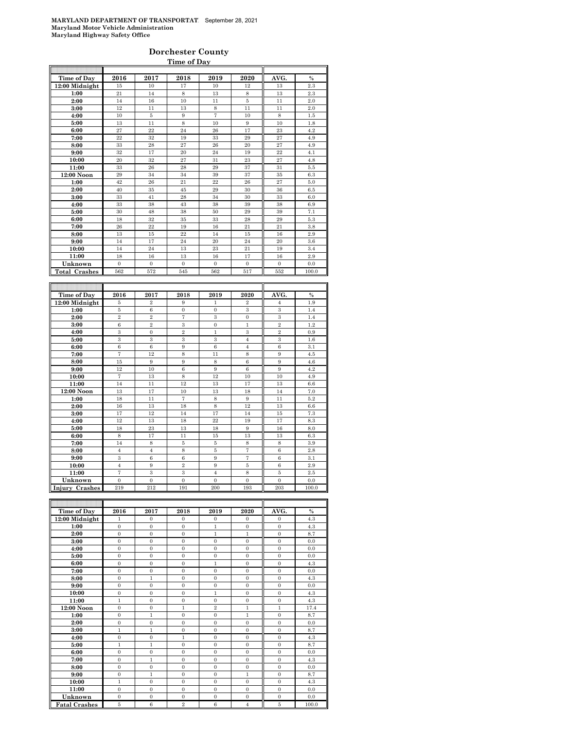### **Dorchester County Time of Day**

| Time of Day          | 2016           | 2017           | 2018              | 2019           | 2020           | AVG.           | $\frac{0}{0}$ |
|----------------------|----------------|----------------|-------------------|----------------|----------------|----------------|---------------|
| 12:00 Midnight       | 15             | 10             | 17                | 10             | 12             | 13             | 2.3           |
| 1:00                 | 21             | 14             | 8                 | 13             | 8              | 13             | 2.3           |
| 2:00                 | 14             | 16             | 10                | 11             | 5              | 11             | 2.0           |
| 3:00                 | 12             | 11             | 13                | 8              | 11             | 11             | 2.0           |
| 4:00                 | 10             | 5              | 9                 | $\overline{7}$ | 10             | 8              | 1.5           |
| 5:00                 | 13             | 11             | 8                 | 10             | 9              | 10             | 1.8           |
| 6:00                 | 27             | 22             | 24                | 26             | 17             | 23             | 4.2           |
| 7:00                 | 22             | 32             | 19                | 33             | 29             | 27             | 4.9           |
| 8:00                 | 33             | 28             | 27                | 26             | 20             | 27             | 4.9           |
| 9:00                 | 32             | 17             | 20                | 24             | 19             | 22             | 4.1           |
| 10:00                | 20             | 32             | 27                | 31             | 23             | 27             | 4.8           |
| 11:00                | 33             | 26             | 28                | 29             | 37             | 31             | 5.5           |
| 12:00 Noon           | 29             | 34             | 34                | 39             | 37             | 35             | 6.3           |
| 1:00                 | 42             | 26             | 21                | 22             | 26             | 27             | 5.0           |
| 2:00                 | 40             | 35             | 45                | 29             | 30             | 36             | 6.5           |
| 3:00                 | 33             | 41             | 28                | 34             | 30             | 33             | 6.0           |
| 4:00                 | 33             | 38             | 43                | 38             | 39             | 38             | 6.9           |
| 5:00                 | 30             | 48             | 38                | 50             | 29             | 39             | 7.1           |
| 6:00                 | 18             | 32             | 35                | 33             | 28             | 29             | 5.3           |
| 7:00                 | 26             | $^{22}$        | 19                | 16             | 21             | 21             | 3.8           |
| 8:00                 | 13             | 15             | 22                | 14             | 15             | 16             | 2.9           |
| 9:00                 | 14             | 17             | 24                | 20             | 24             | 20             | 3.6           |
| 10:00                | 14             | 24             | 13                | 23             | 21             | 19             | 3.4           |
| 11:00                | 18             | 16             | 13                | 16             | 17             | 16             | 2.9           |
| Unknown              | $\overline{0}$ | $\mathbf{0}$   | $\Omega$          | $\mathbf{0}$   | $\overline{0}$ | $\Omega$       | 0.0           |
| <b>Total Crashes</b> | 562            | 572            | 545               | 562            | 517            | 552            | 100.0         |
|                      |                |                |                   |                |                |                |               |
|                      |                |                |                   |                |                |                |               |
| Time of Day          | 2016           | 2017           | 2018              | 2019           | 2020           | AVG.           | $\frac{0}{0}$ |
| $12:00$ Midnight     | 5              | $\overline{2}$ | 9                 | $\mathbf{1}$   | $\,2\,$        | $\overline{4}$ | 1.9           |
| 1:00                 | 5              | 6              | $\overline{0}$    | $\overline{0}$ | 3              | 3              | 1.4           |
| 2:00                 | $\overline{2}$ | $\overline{2}$ | $\overline{7}$    | 3              | $\overline{0}$ | 3              | 1.4           |
| 3:00                 | 6              | $\overline{2}$ | 3                 | $\overline{0}$ | $\mathbf{1}$   | $\overline{2}$ | 1.2           |
| 4:00                 | 3              | $\mathbf{0}$   | $\overline{2}$    | $\mathbf{1}$   | 3              | $\overline{2}$ | 0.9           |
| 5:00                 | 3              | 3              | 3                 | 3              | $\overline{4}$ | 3              | 1.6           |
| 6:00                 | 6              | $\,6$          | 9                 | 6              | $\overline{4}$ | 6              | 3.1           |
| 7:00                 | 7              | 12             | 8                 | 11             | 8              | 9              | 4.5           |
| 8:00                 | 15             | 9              | 9                 | 8              | 6              | 9              | 4.6           |
| 9:00                 | 12             | 10             | $\overline{6}$    | 9              | 6              | 9              | 4.2           |
| 10:00                | $\overline{7}$ | 13             | 8                 | 12             | 10             | 10             | 4.9           |
| 11:00                | 14             | 11             | 12                | 13             | 17             | 13             | 6.6           |
| 12:00 Noon           | 13             | 17             | 10                | 13             | 18             | 14             | 7.0           |
| 1:00                 | 18             | 11             | $\scriptstyle{7}$ | 8              | 9              | 11             | 5.2           |
| 2:00                 | 16             | 13             | 18                | 8              | 12             | 13             | 6.6           |

| 3:00              | 17  | 12       | 14       | 17       | 14       | 15       | 7.3   |
|-------------------|-----|----------|----------|----------|----------|----------|-------|
| 4:00              | 12  | 13       | 18       | 22       | 19       | 17       | 8.3   |
| 5:00              | 18  | 23       | 13       | 18       | 9        | 16       | 8.0   |
| 6:00              | 8   | 17       | 11       | 15       | 13       | 13       | 6.3   |
| 7:00              | 14  | 8        | 5        | 5        | 8        | 8        | 3.9   |
| 8:00              |     |          | 8        | 5        |          | 6        | 2.8   |
| 9:00              | 3   | 6        | 6        | 9        |          | 6        | 3.1   |
| 10:00             | 4   | 9        | $\Omega$ | 9        | 5        | 6        | 2.9   |
| 11:00             |     | 3        | 3        | 4        | 8        | 5        | 2.5   |
| Unknown           | 0   | $\Omega$ | $\Omega$ | $\Omega$ | $\Omega$ | $\Omega$ | 0.0   |
| Injury<br>Crashes | 219 | 212      | 191      | 200      | 193      | 203      | 100.0 |

| Time of Day          | 2016         | 2017           | 2018           | 2019           | 2020           | AVG.         | $\%$  |
|----------------------|--------------|----------------|----------------|----------------|----------------|--------------|-------|
| $12:00$ Midnight     | 1            | $\Omega$       | $\Omega$       | $\Omega$       | $\Omega$       | $\Omega$     | 4.3   |
| 1:00                 | $\mathbf{0}$ | $\Omega$       | $\mathbf{0}$   | $\mathbf{1}$   | $\Omega$       | $\Omega$     | 4.3   |
| 2:00                 | $\mathbf{0}$ | $\overline{0}$ | $\overline{0}$ | $\mathbf{1}$   | $\mathbf{1}$   | $\mathbf{0}$ | 8.7   |
| 3:00                 | $\Omega$     | $\Omega$       | $\Omega$       | $\Omega$       | $\Omega$       | $\Omega$     | 0.0   |
| 4:00                 | $\Omega$     | $\Omega$       | $\Omega$       | $\Omega$       | $\Omega$       | $\Omega$     | 0.0   |
| 5:00                 | $\Omega$     | $\Omega$       | $\mathbf{0}$   | $\Omega$       | $\Omega$       | $\Omega$     | 0.0   |
| 6:00                 | $\Omega$     | $\Omega$       | $\Omega$       | 1              | $\Omega$       | $\Omega$     | 4.3   |
| 7:00                 | $\mathbf{0}$ | $\overline{0}$ | $\overline{0}$ | $\Omega$       | $\mathbf{0}$   | $\mathbf{0}$ | 0.0   |
| 8:00                 | $\Omega$     | $\mathbf{1}$   | $\mathbf{0}$   | $\Omega$       | $\Omega$       | $\Omega$     | 4.3   |
| 9:00                 | $\mathbf{0}$ | $\Omega$       | $\mathbf{0}$   | $\Omega$       | $\mathbf{0}$   | $\Omega$     | 0.0   |
| 10:00                | $\mathbf{0}$ | $\overline{0}$ | $\overline{0}$ | $\mathbf{1}$   | $\Omega$       | $\mathbf{0}$ | 4.3   |
| 11:00                | $\mathbf{1}$ | $\Omega$       | $\Omega$       | $\Omega$       | $\Omega$       | $\Omega$     | 4.3   |
| $12:00$ Noon         | $\Omega$     | $\Omega$       | $\mathbf{1}$   | $\overline{2}$ | $\mathbf{1}$   | 1            | 17.4  |
| 1:00                 | $\Omega$     | 1              | $\Omega$       | $\Omega$       | 1              | $\Omega$     | 8.7   |
| 2:00                 | $\Omega$     | $\Omega$       | $\Omega$       | $\Omega$       | $\Omega$       | $\Omega$     | 0.0   |
| 3:00                 | $\mathbf{1}$ | 1              | $\mathbf{0}$   | $\mathbf{0}$   | $\mathbf{0}$   | $\mathbf{0}$ | 8.7   |
| 4:00                 | $\Omega$     | $\Omega$       | 1              | $\Omega$       | $\Omega$       | $\Omega$     | 4.3   |
| 5:00                 | $\mathbf{1}$ | $\mathbf{1}$   | $\overline{0}$ | $\Omega$       | $\mathbf{0}$   | $\mathbf{0}$ | 8.7   |
| 6:00                 | $\Omega$     | $\Omega$       | $\mathbf{0}$   | $\Omega$       | $\Omega$       | $\Omega$     | 0.0   |
| 7:00                 | $\mathbf{0}$ | $\mathbf{1}$   | $\overline{0}$ | $\Omega$       | $\mathbf{0}$   | $\Omega$     | 4.3   |
| 8:00                 | $\Omega$     | $\overline{0}$ | $\overline{0}$ | $\Omega$       | $\Omega$       | $\Omega$     | 0.0   |
| 9:00                 | $\Omega$     | 1              | $\Omega$       | $\Omega$       | 1              | $\Omega$     | 8.7   |
| 10:00                | 1            | $\Omega$       | $\Omega$       | $\Omega$       | $\Omega$       | $\Omega$     | 4.3   |
| 11:00                | $\Omega$     | $\Omega$       | $\Omega$       | $\Omega$       | $\Omega$       | $\Omega$     | 0.0   |
| Unknown              | $\Omega$     | $\Omega$       | $\mathbf{0}$   | $\Omega$       | $\Omega$       | $\Omega$     | 0.0   |
| <b>Fatal Crashes</b> | 5            | 6              | $\overline{2}$ | 6              | $\overline{4}$ | 5            | 100.0 |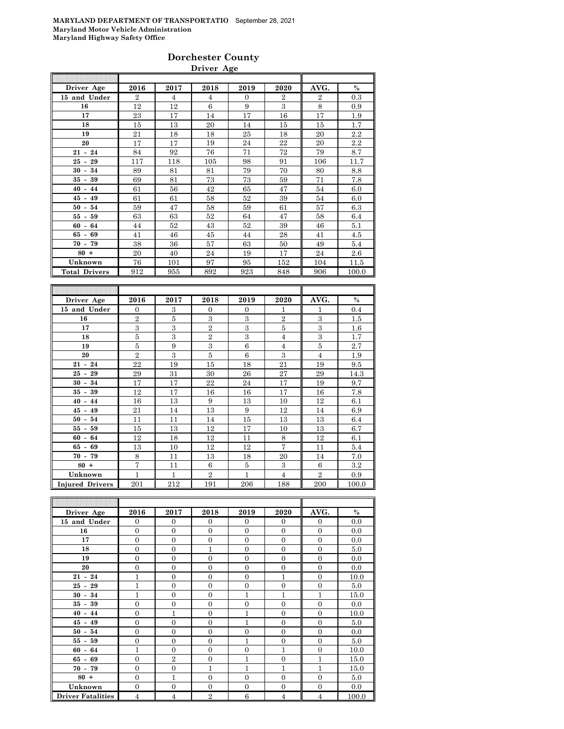### **Dorchester County Driver Age**

| Driver Age           | 2016           | 2017           | 2018           | 2019           | 2020           | AVG.           | $\frac{0}{0}$ |
|----------------------|----------------|----------------|----------------|----------------|----------------|----------------|---------------|
| 15 and Under         | $\overline{2}$ | $\overline{4}$ | 4              | $\overline{0}$ | $\overline{2}$ | $\overline{2}$ | 0.3           |
| 16                   | 12             | 12             | 6              | 9              | 3              | 8              | 0.9           |
| 17                   | 23             | 17             | 14             | 17             | 16             | 17             | 1.9           |
| 18                   | 15             | 13             | 20             | 14             | 15             | 15             | 1.7           |
| 19                   | 21             | 18             | 18             | 25             | 18             | 20             | 2.2           |
| 20                   | 17             | 17             | 19             | 24             | 22             | 20             | 2.2           |
| $21 - 24$            | 84             | 92             | 76             | 71             | 72             | 79             | 8.7           |
| $25 - 29$            | 117            | 118            | 105            | 98             | 91             | 106            | 11.7          |
| $30 - 34$            | 89             | 81             | 81             | 79             | 70             | 80             | 8.8           |
| $35 - 39$            | 69             | 81             | 73             | 73             | 59             | 71             | 7.8           |
| $40 - 44$            | 61             | 56             | 42             | 65             | 47             | 54             | 6.0           |
| $45 - 49$            | 61             | 61             | 58             | 52             | 39             | 54             | 6.0           |
| $50 - 54$            | 59             | 47             | 58             | 59             | 61             | 57             | 6.3           |
| $55 - 59$            | 63             | 63             | 52             | 64             | 47             | 58             | 6.4           |
| $60 - 64$            | 44             | 52             | 43             | 52             | 39             | 46             | 5.1           |
| $65 - 69$            | 41             | 46             | 45             | 44             | 28             | 41             | 4.5           |
| $70 - 79$            | 38             | 36             | 57             | 63             | 50             | 49             | 5.4           |
| $80 +$               | 20             | 40             | 24             | 19             | 17             | 24             | 2.6           |
| Unknown              | 76             | 101            | 97             | 95             | 152            | 104            | 11.5          |
| <b>Total Drivers</b> | 912            | 955            | 892            | 923            | 848            | 906            | 100.0         |
|                      |                |                |                |                |                |                |               |
|                      |                |                |                |                |                |                |               |
| Driver Age           | 2016           | 2017           | 2018           | 2019           | 2020           | AVG.           | $\%$          |
| 15 and Under         | $\Omega$       | 3              | $\Omega$       | $\Omega$       | 1              | 1              | 0.4           |
| 16                   | $\overline{2}$ | 5              | 3              | 3              | $\overline{2}$ | 3              | 1.5           |
| 17                   | 3              | 3              | $\overline{2}$ | 3              | 5              | 3              | 1.6           |
| 18                   | 5              | $\,3$          | $\overline{2}$ | $\,3$          | $\overline{4}$ | 3              | 1.7           |
| 19                   | 5              | 9              | 3              | 6              | $\overline{4}$ | 5              | 2.7           |
| 20                   | $\,2$          | 3              | 5              | 6              | 3              | $\overline{4}$ | 1.9           |
|                      |                |                |                |                |                |                |               |

| 18                     | 5              | 3   | $\,2$          | 3   | $\overline{4}$ | 3              | 1.7   |
|------------------------|----------------|-----|----------------|-----|----------------|----------------|-------|
| 19                     | 5              | 9   | 3              | 6   | $\overline{4}$ | 5              | 2.7   |
| 20                     | $\overline{2}$ | 3   | 5              | 6   | 3              | $\overline{4}$ | 1.9   |
| $21 - 24$              | 22             | 19  | 15             | 18  | 21             | 19             | 9.5   |
| $25 - 29$              | 29             | 31  | 30             | 26  | 27             | 29             | 14.3  |
| $30 - 34$              | 17             | 17  | 22             | 24  | 17             | 19             | 9.7   |
| $35 - 39$              | 12             | 17  | 16             | 16  | 17             | 16             | 7.8   |
| $40 - 44$              | 16             | 13  | 9              | 13  | 10             | 12             | 6.1   |
| $45 - 49$              | 21             | 14  | 13             | 9   | 12             | 14             | 6.9   |
| $50 - 54$              | 11             | 11  | 14             | 15  | 13             | 13             | 6.4   |
| $55 - 59$              | 15             | 13  | 12             | 17  | 10             | 13             | 6.7   |
| $60 - 64$              | 12             | 18  | 12             | 11  | 8              | 12             | 6.1   |
| $65 - 69$              | 13             | 10  | 12             | 12  | 7              | 11             | 5.4   |
| $70 - 79$              | 8              | 11  | 13             | 18  | 20             | 14             | 7.0   |
| $80 +$                 | $\tau$         | 11  | 6              | 5   | 3              | 6              | 3.2   |
| Unknown                | $\mathbf{1}$   | 1   | $\overline{2}$ | 1   | $\overline{4}$ | $\overline{2}$ | 0.9   |
| <b>Injured Drivers</b> | 201            | 212 | 191            | 206 | 188            | 200            | 100.0 |

| Driver Age               | 2016           | 2017           | 2018           | 2019     | 2020           | AVG.           | $\%$  |
|--------------------------|----------------|----------------|----------------|----------|----------------|----------------|-------|
| 15 and Under             | $\overline{0}$ | $\theta$       | $\Omega$       | $\Omega$ | $\mathbf{0}$   | $\mathbf{0}$   | 0.0   |
| 16                       | $\overline{0}$ | $\overline{0}$ | $\Omega$       | $\Omega$ | $\overline{0}$ | $\overline{0}$ | 0.0   |
| 17                       | $\mathbf{0}$   | $\overline{0}$ | $\overline{0}$ | $\Omega$ | $\overline{0}$ | $\overline{0}$ | 0.0   |
| 18                       | $\overline{0}$ | $\overline{0}$ | 1              | $\Omega$ | $\Omega$       | $\overline{0}$ | 5.0   |
| 19                       | $\overline{0}$ | $\overline{0}$ | $\Omega$       | $\Omega$ | $\overline{0}$ | $\overline{0}$ | 0.0   |
| 20                       | $\overline{0}$ | $\overline{0}$ | $\Omega$       | $\Omega$ | $\overline{0}$ | $\overline{0}$ | 0.0   |
| $21 - 24$                | 1              | $\theta$       | $\Omega$       | $\Omega$ | $\mathbf{1}$   | $\overline{0}$ | 10.0  |
| $25 - 29$                | 1              | $\overline{0}$ | $\Omega$       | $\theta$ | $\theta$       | $\overline{0}$ | 5.0   |
| $30 - 34$                | 1              | $\theta$       | $\mathbf{0}$   | 1        | $\mathbf{1}$   | $\mathbf{1}$   | 15.0  |
| $35 - 39$                | $\Omega$       | $\overline{0}$ | $\Omega$       | $\theta$ | $\Omega$       | $\overline{0}$ | 0.0   |
| $40 - 44$                | $\overline{0}$ | $\overline{1}$ | $\Omega$       | 1        | $\Omega$       | $\overline{0}$ | 10.0  |
| $45 - 49$                | $\overline{0}$ | $\overline{0}$ | $\overline{0}$ | 1        | $\overline{0}$ | $\overline{0}$ | 5.0   |
| $50 - 54$                | $\overline{0}$ | $\overline{0}$ | $\Omega$       | $\Omega$ | $\overline{0}$ | $\overline{0}$ | 0.0   |
| $55 - 59$                | $\overline{0}$ | $\overline{0}$ | $\overline{0}$ | 1        | $\overline{0}$ | $\overline{0}$ | 5.0   |
| $60 - 64$                | $\mathbf{1}$   | $\overline{0}$ | $\Omega$       | $\theta$ | $\mathbf{1}$   | $\overline{0}$ | 10.0  |
| $65 - 69$                | $\overline{0}$ | $\overline{2}$ | $\overline{0}$ | 1        | $\overline{0}$ | $\mathbf{1}$   | 15.0  |
| $70 - 79$                | $\overline{0}$ | $\overline{0}$ | 1              | 1        | $\mathbf{1}$   | 1              | 15.0  |
| $80 +$                   | $\Omega$       | $\overline{1}$ | $\Omega$       | $\Omega$ | $\Omega$       | $\overline{0}$ | 5.0   |
| Unknown                  | $\overline{0}$ | $\overline{0}$ | $\Omega$       | $\Omega$ | $\overline{0}$ | $\overline{0}$ | 0.0   |
| <b>Driver Fatalities</b> | $\overline{4}$ | $\overline{4}$ | $\overline{2}$ | 6        | $\overline{4}$ | $\overline{4}$ | 100.0 |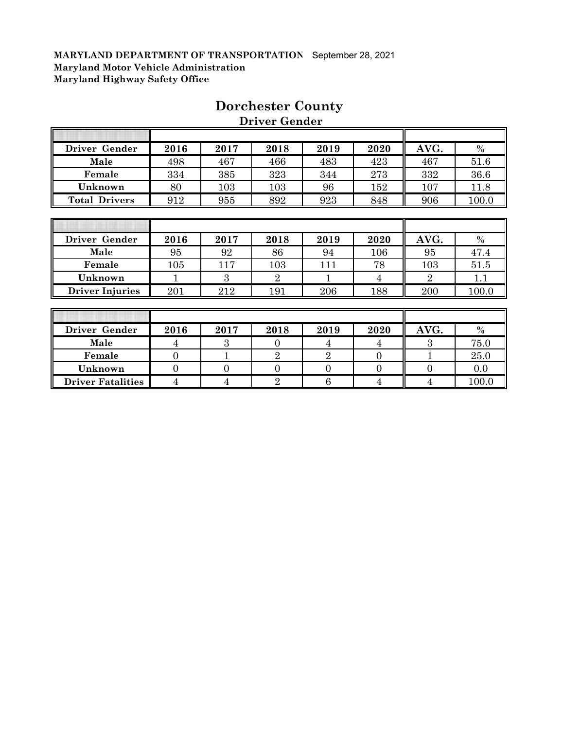$\overline{\Gamma}$ 

| Driver Gender          | 2016 | 2017 | 2018           | 2019 | 2020 | AVG.           | $\%$  |
|------------------------|------|------|----------------|------|------|----------------|-------|
| Male                   | 498  | 467  | 466            | 483  | 423  | 467            | 51.6  |
| Female                 | 334  | 385  | 323            | 344  | 273  | 332            | 36.6  |
| Unknown                | 80   | 103  | 103            | 96   | 152  | 107            | 11.8  |
| <b>Total Drivers</b>   | 912  | 955  | 892            | 923  | 848  | 906            | 100.0 |
|                        |      |      |                |      |      |                |       |
|                        |      |      |                |      |      |                |       |
| Driver Gender          | 2016 | 2017 | 2018           | 2019 | 2020 | AVG.           | $\%$  |
| Male                   | 95   | 92   | 86             | 94   | 106  | 95             | 47.4  |
| Female                 | 105  | 117  | 103            | 111  | 78   | 103            | 51.5  |
| Unknown                |      | 3    | $\overline{2}$ |      | 4    | $\overline{2}$ | 1.1   |
| <b>Driver Injuries</b> | 201  | 212  | 191            | 206  | 188  | 200            | 100.0 |
|                        |      |      |                |      |      |                |       |
|                        |      |      |                |      |      |                |       |

# **Dorchester County**

 **Driver Gender**

| Driver Gender            | 2016 | 2017 | 2018 | 2019 | 2020 | AVG. | $\frac{0}{0}$ |
|--------------------------|------|------|------|------|------|------|---------------|
| Male                     |      |      |      |      |      |      | 75.0          |
| Female                   |      |      |      |      |      |      | 25.0          |
| Unknown                  |      |      |      |      |      |      | 0.0           |
| <b>Driver Fatalities</b> |      |      |      |      |      |      | 100.0         |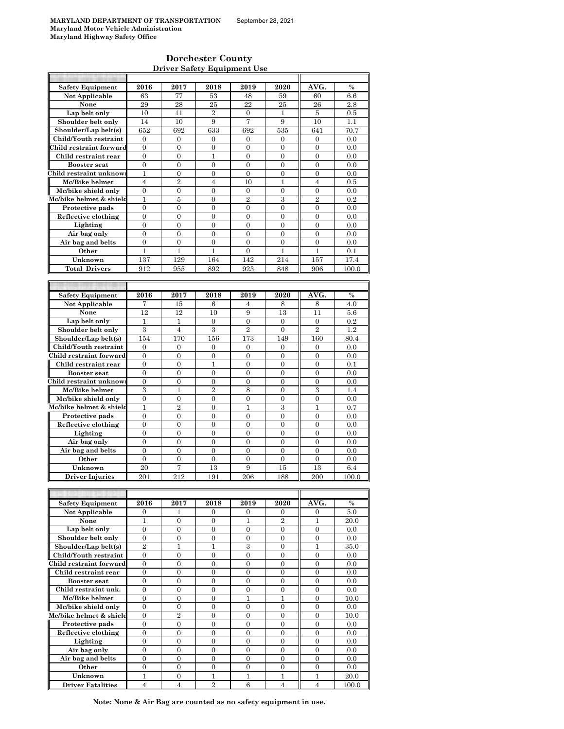$\mathsf{r}$ 

### **Dorchester County Driver Safety Equipment Use**

| <b>Safety Equipment</b>  |                  |                  |                  |                  |                  |                  |       |
|--------------------------|------------------|------------------|------------------|------------------|------------------|------------------|-------|
|                          | 2016             | 2017             | 2018             | 2019             | 2020             | AVG.             | $\%$  |
| Not Applicable           | 63               | 77               | 53               | 48               | 59               | 60               | 6.6   |
|                          |                  |                  | 25               | 22               | 25               |                  |       |
| None                     | 29               | 28               |                  |                  |                  | 26               | 2.8   |
| Lap belt only            | 10               | 11               | $\overline{2}$   | $\overline{0}$   | $\mathbf{1}$     | 5                | 0.5   |
| Shoulder belt only       | 14               | 10               | 9                | 7                | 9                | 10               | 1.1   |
| Shoulder/Lap belt(s)     | 652              | 692              | 633              | 692              | 535              | 641              | 70.7  |
| Child/Youth restraint    |                  |                  |                  |                  |                  |                  |       |
|                          | 0                | $\mathbf{0}$     | 0                | 0                | 0                | 0                | 0.0   |
| Child restraint forward  | $\boldsymbol{0}$ | $\mathbf{0}$     | $\overline{0}$   | $\overline{0}$   | $\mathbf{0}$     | $\overline{0}$   | 0.0   |
| Child restraint rear     | $\boldsymbol{0}$ | $\boldsymbol{0}$ | $\mathbf 1$      | $\boldsymbol{0}$ | $\boldsymbol{0}$ | $\boldsymbol{0}$ | 0.0   |
| <b>Booster seat</b>      | $\overline{0}$   | $\mathbf{0}$     | $\mathbf{0}$     | $\overline{0}$   | $\mathbf{0}$     | $\mathbf{0}$     | 0.0   |
| Child restraint unknow   | 1                | $\boldsymbol{0}$ | $\boldsymbol{0}$ | $\overline{0}$   | $\boldsymbol{0}$ | $\boldsymbol{0}$ |       |
|                          |                  |                  |                  |                  |                  |                  | 0.0   |
| Mc/Bike helmet           | $\overline{4}$   | $\overline{2}$   | $\overline{4}$   | 10               | 1                | $\overline{4}$   | 0.5   |
| Mc/bike shield only      | $\overline{0}$   | $\mathbf{0}$     | $\overline{0}$   | $\overline{0}$   | $\boldsymbol{0}$ | $\overline{0}$   | 0.0   |
| Mc/bike helmet & shield  | 1                | 5                | 0                | $\overline{2}$   | 3                | $\overline{2}$   | 0.2   |
|                          |                  |                  | $\overline{0}$   |                  |                  |                  |       |
| Protective pads          | $\boldsymbol{0}$ | $\boldsymbol{0}$ |                  | $\overline{0}$   | $\overline{0}$   | $\boldsymbol{0}$ | 0.0   |
| Reflective clothing      | $\boldsymbol{0}$ | $\boldsymbol{0}$ | 0                | 0                | 0                | $\mathbf{0}$     | 0.0   |
| Lighting                 | $\mathbf{0}$     | $\mathbf{0}$     | $\overline{0}$   | $\overline{0}$   | $\overline{0}$   | $\overline{0}$   | 0.0   |
| Air bag only             | $\boldsymbol{0}$ | $\boldsymbol{0}$ | 0                | 0                | $\mathbf{0}$     | 0                | 0.0   |
|                          |                  | $\overline{0}$   | $\overline{0}$   | $\overline{0}$   | $\overline{0}$   | $\overline{0}$   |       |
| Air bag and belts        | $\boldsymbol{0}$ |                  |                  |                  |                  |                  | 0.0   |
| Other                    | 1                | 1                | 1                | $\boldsymbol{0}$ | 1                | 1                | 0.1   |
| Unknown                  | 137              | 129              | 164              | 142              | 214              | 157              | 17.4  |
| <b>Total Drivers</b>     | 912              | 955              | 892              | 923              | 848              | 906              | 100.0 |
|                          |                  |                  |                  |                  |                  |                  |       |
|                          |                  |                  |                  |                  |                  |                  |       |
|                          |                  |                  |                  |                  |                  |                  |       |
| <b>Safety Equipment</b>  | 2016             | 2017             | 2018             | 2019             | 2020             | AVG.             | $\%$  |
| Not Applicable           | 7                | 15               | 6                | $\overline{4}$   | 8                | 8                | 4.0   |
| None                     | 12               |                  |                  |                  |                  | 11               |       |
|                          |                  | 12               | 10               | 9                | 13               |                  | 5.6   |
| Lap belt only            | 1                | 1                | 0                | $\boldsymbol{0}$ | $\boldsymbol{0}$ | $\boldsymbol{0}$ | 0.2   |
| Shoulder belt only       | 3                | $\overline{4}$   | 3                | $\overline{2}$   | $\overline{0}$   | $\overline{2}$   | 1.2   |
| Shoulder/Lap belt(s)     | 154              | 170              | $^{156}$         | 173              | 149              | 160              | 80.4  |
|                          |                  |                  |                  |                  |                  |                  |       |
| Child/Youth restraint    | $\overline{0}$   | $\mathbf{0}$     | $\mathbf{0}$     | $\mathbf{0}$     | $\mathbf{0}$     | $\mathbf{0}$     | 0.0   |
| Child restraint forward  | $\boldsymbol{0}$ | $\boldsymbol{0}$ | 0                | $\boldsymbol{0}$ | $\boldsymbol{0}$ | $\boldsymbol{0}$ | 0.0   |
| Child restraint rear     | $\overline{0}$   | $\mathbf{0}$     | $\mathbf{1}$     | $\overline{0}$   | $\overline{0}$   | $\overline{0}$   | 0.1   |
| <b>Booster seat</b>      | $\overline{0}$   | $\mathbf{0}$     | $\overline{0}$   | $\overline{0}$   | $\overline{0}$   | $\overline{0}$   | 0.0   |
|                          |                  |                  |                  |                  |                  |                  |       |
| Child restraint unknow   | $\boldsymbol{0}$ | $\boldsymbol{0}$ | $\boldsymbol{0}$ | $\boldsymbol{0}$ | $\boldsymbol{0}$ | 0                | 0.0   |
| Mc/Bike helmet           | 3                | $\mathbf{1}$     | $\overline{2}$   | 8                | $\boldsymbol{0}$ | 3                | 1.4   |
| Mc/bike shield only      | $\boldsymbol{0}$ | 0                | 0                | $\boldsymbol{0}$ | 0                | $\boldsymbol{0}$ | 0.0   |
| Mc/bike helmet & shield  | $\mathbf{1}$     | $\overline{2}$   | $\overline{0}$   | $\mathbf{1}$     | $\,3$            | $\mathbf{1}$     | 0.7   |
|                          | $\boldsymbol{0}$ | $\boldsymbol{0}$ | 0                | $\boldsymbol{0}$ | $\mathbf{0}$     | $\mathbf{0}$     | 0.0   |
| Protective pads          |                  |                  |                  |                  |                  |                  |       |
| Reflective clothing      | $\boldsymbol{0}$ | $\overline{0}$   | $\overline{0}$   | $\overline{0}$   | $\overline{0}$   | $\overline{0}$   | 0.0   |
| Lighting                 | $\boldsymbol{0}$ | $\boldsymbol{0}$ | 0                | $\boldsymbol{0}$ | $\boldsymbol{0}$ | 0                | 0.0   |
| Air bag only             |                  |                  |                  |                  |                  |                  |       |
|                          |                  |                  |                  |                  |                  |                  |       |
|                          | $\overline{0}$   | $\mathbf{0}$     | $\overline{0}$   | $\overline{0}$   | $\mathbf{0}$     | $\overline{0}$   | 0.0   |
| Air bag and belts        | $\boldsymbol{0}$ | $\mathbf{0}$     | $\overline{0}$   | $\boldsymbol{0}$ | $\boldsymbol{0}$ | $\boldsymbol{0}$ | 0.0   |
| Other                    | $\boldsymbol{0}$ | 0                | 0                | $\boldsymbol{0}$ | $\boldsymbol{0}$ | $\boldsymbol{0}$ | 0.0   |
| Unknown                  | 20               | 7                | 13               | 9                | 15               | 13               | 6.4   |
|                          |                  |                  |                  |                  |                  |                  |       |
| Driver Injuries          | 201              | 212              | 191              | 206              | 188              | 200              | 100.0 |
|                          |                  |                  |                  |                  |                  |                  |       |
|                          |                  |                  |                  |                  |                  |                  |       |
| <b>Safety Equipment</b>  | 2016             | 2017             | 2018             | 2019             | 2020             | AVG.             | %     |
|                          | $\mathbf{0}$     | 1                | $\mathbf{0}$     |                  | $\mathbf{0}$     | $\overline{0}$   |       |
| Not Applicable           |                  |                  |                  | 0                |                  |                  | 5.0   |
| None                     | 1                | $\boldsymbol{0}$ | $\boldsymbol{0}$ | 1                | $\,2$            | 1                | 20.0  |
| Lap belt only            | $\boldsymbol{0}$ | $\overline{0}$   | $\boldsymbol{0}$ | $\boldsymbol{0}$ | $\mathbf{0}$     | $\mathbf{0}$     | 0.0   |
| Shoulder belt only       | $\boldsymbol{0}$ | $\boldsymbol{0}$ | 0                | $\boldsymbol{0}$ | $\mathbf{0}$     | $\mathbf{0}$     | 0.0   |
|                          |                  |                  |                  |                  |                  |                  |       |
| Shoulder/Lap belt(s)     | $\overline{2}$   | $\mathbf{1}$     | $\mathbf{1}$     | 3                | $\overline{0}$   | $\mathbf{1}$     | 35.0  |
| Child/Youth restraint    | $\boldsymbol{0}$ | $\boldsymbol{0}$ | $\overline{0}$   | $\overline{0}$   | $\boldsymbol{0}$ | $\overline{0}$   | 0.0   |
| Child restraint forward  | $\boldsymbol{0}$ | $\boldsymbol{0}$ | 0                | $\boldsymbol{0}$ | $\boldsymbol{0}$ | $\boldsymbol{0}$ | 0.0   |
| Child restraint rear     | $\boldsymbol{0}$ | $\boldsymbol{0}$ | $\overline{0}$   | $\mathbf{0}$     | $\boldsymbol{0}$ | $\boldsymbol{0}$ | 0.0   |
|                          |                  |                  |                  |                  |                  |                  |       |
| <b>Booster seat</b>      | $\boldsymbol{0}$ | $\boldsymbol{0}$ | 0                | $\boldsymbol{0}$ | $\mathbf{0}$     | $\mathbf{0}$     | 0.0   |
| Child restraint unk.     | $\overline{0}$   | $\overline{0}$   | $\overline{0}$   | $\overline{0}$   | $\mathbf{0}$     | $\overline{0}$   | 0.0   |
| Mc/Bike helmet           | $\boldsymbol{0}$ | $\boldsymbol{0}$ | 0                | 1                | 1                | $\mathbf{0}$     | 10.0  |
| Mc/bike shield only      | $\mathbf{0}$     | $\mathbf{0}$     | $\overline{0}$   | $\overline{0}$   | $\overline{0}$   | $\overline{0}$   | 0.0   |
|                          |                  |                  |                  |                  |                  |                  |       |
| Mc/bike helmet & shield  | $\boldsymbol{0}$ | $\overline{2}$   | 0                | $\boldsymbol{0}$ | $\mathbf{0}$     | 0                | 10.0  |
| Protective pads          | $\boldsymbol{0}$ | $\overline{0}$   | $\overline{0}$   | $\overline{0}$   | $\overline{0}$   | $\overline{0}$   | 0.0   |
| Reflective clothing      | $\boldsymbol{0}$ | $\boldsymbol{0}$ | $\boldsymbol{0}$ | $\boldsymbol{0}$ | $\boldsymbol{0}$ | $\boldsymbol{0}$ | 0.0   |
| Lighting                 | $\boldsymbol{0}$ | $\boldsymbol{0}$ | 0                | $\boldsymbol{0}$ | $\overline{0}$   | $\boldsymbol{0}$ | 0.0   |
|                          |                  |                  |                  |                  |                  |                  |       |
| Air bag only             | $\boldsymbol{0}$ | $\boldsymbol{0}$ | 0                | $\boldsymbol{0}$ | $\boldsymbol{0}$ | $\boldsymbol{0}$ | 0.0   |
| Air bag and belts        | $\boldsymbol{0}$ | $\boldsymbol{0}$ | 0                | $\boldsymbol{0}$ | $\boldsymbol{0}$ | $\boldsymbol{0}$ | 0.0   |
| Other                    | $\boldsymbol{0}$ | $\overline{0}$   | $\overline{0}$   | $\overline{0}$   | $\overline{0}$   | $\overline{0}$   | 0.0   |
| Unknown                  | 1                | $\boldsymbol{0}$ | 1                | 1                | 1                | $\mathbf{1}$     | 20.0  |
| <b>Driver Fatalities</b> | $\overline{4}$   | $\overline{4}$   | $^{2}$           | 6                | $\overline{4}$   | $\overline{4}$   | 100.0 |

**Note: None & Air Bag are counted as no safety equipment in use.**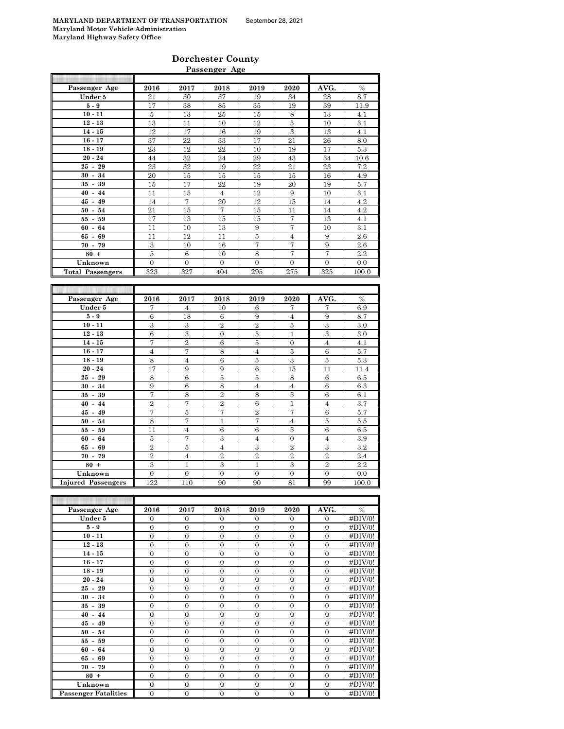### **Dorchester County Passenger Age**

| 2016                       | 2017                                                                                                                                | 2018                                                                                                                                                      | 2019                                                                                                                                       |                                                                                                                                                                                                                  |                                                                                                                                                                     | %                                                                                                                                                                  |
|----------------------------|-------------------------------------------------------------------------------------------------------------------------------------|-----------------------------------------------------------------------------------------------------------------------------------------------------------|--------------------------------------------------------------------------------------------------------------------------------------------|------------------------------------------------------------------------------------------------------------------------------------------------------------------------------------------------------------------|---------------------------------------------------------------------------------------------------------------------------------------------------------------------|--------------------------------------------------------------------------------------------------------------------------------------------------------------------|
| 21                         | 30                                                                                                                                  | 37                                                                                                                                                        | 19                                                                                                                                         | 34                                                                                                                                                                                                               | 28                                                                                                                                                                  | 8.7                                                                                                                                                                |
| 17                         | 38                                                                                                                                  | 85                                                                                                                                                        | 35                                                                                                                                         | 19                                                                                                                                                                                                               | 39                                                                                                                                                                  | 11.9                                                                                                                                                               |
| 5                          | 13                                                                                                                                  | 25                                                                                                                                                        | 15                                                                                                                                         | 8                                                                                                                                                                                                                | 13                                                                                                                                                                  | 4.1                                                                                                                                                                |
| 13                         | 11                                                                                                                                  | 10                                                                                                                                                        | 12                                                                                                                                         | 5                                                                                                                                                                                                                | 10                                                                                                                                                                  | 3.1                                                                                                                                                                |
| 12                         | 17                                                                                                                                  | 16                                                                                                                                                        | 19                                                                                                                                         | 3                                                                                                                                                                                                                | 13                                                                                                                                                                  | 4.1                                                                                                                                                                |
| 37                         | 22                                                                                                                                  | 33                                                                                                                                                        | 17                                                                                                                                         | 21                                                                                                                                                                                                               | 26                                                                                                                                                                  | 8.0                                                                                                                                                                |
| 23                         | 12                                                                                                                                  | 22                                                                                                                                                        | 10                                                                                                                                         | 19                                                                                                                                                                                                               | 17                                                                                                                                                                  | 5.3                                                                                                                                                                |
| 44                         | 32                                                                                                                                  | 24                                                                                                                                                        | 29                                                                                                                                         | 43                                                                                                                                                                                                               | 34                                                                                                                                                                  | 10.6                                                                                                                                                               |
|                            |                                                                                                                                     | 19                                                                                                                                                        |                                                                                                                                            |                                                                                                                                                                                                                  |                                                                                                                                                                     | 7.2                                                                                                                                                                |
| 20                         | 15                                                                                                                                  | 15                                                                                                                                                        | 15                                                                                                                                         | 15                                                                                                                                                                                                               | 16                                                                                                                                                                  | 4.9                                                                                                                                                                |
|                            |                                                                                                                                     |                                                                                                                                                           |                                                                                                                                            |                                                                                                                                                                                                                  |                                                                                                                                                                     | 5.7                                                                                                                                                                |
|                            |                                                                                                                                     |                                                                                                                                                           |                                                                                                                                            |                                                                                                                                                                                                                  |                                                                                                                                                                     | 3.1                                                                                                                                                                |
| 14                         |                                                                                                                                     |                                                                                                                                                           |                                                                                                                                            |                                                                                                                                                                                                                  | 14                                                                                                                                                                  | 4.2                                                                                                                                                                |
| 21                         |                                                                                                                                     | 7                                                                                                                                                         | 15                                                                                                                                         | 11                                                                                                                                                                                                               | 14                                                                                                                                                                  | 4.2                                                                                                                                                                |
| 17                         | 13                                                                                                                                  | 15                                                                                                                                                        | 15                                                                                                                                         |                                                                                                                                                                                                                  | 13                                                                                                                                                                  | 4.1                                                                                                                                                                |
| 11                         |                                                                                                                                     |                                                                                                                                                           |                                                                                                                                            |                                                                                                                                                                                                                  |                                                                                                                                                                     | 3.1                                                                                                                                                                |
| 11                         | 12                                                                                                                                  | 11                                                                                                                                                        | 5                                                                                                                                          | $\overline{4}$                                                                                                                                                                                                   | 9                                                                                                                                                                   | $2.6\,$                                                                                                                                                            |
|                            |                                                                                                                                     |                                                                                                                                                           |                                                                                                                                            |                                                                                                                                                                                                                  |                                                                                                                                                                     | 2.6                                                                                                                                                                |
|                            |                                                                                                                                     |                                                                                                                                                           |                                                                                                                                            |                                                                                                                                                                                                                  |                                                                                                                                                                     | 2.2                                                                                                                                                                |
|                            | $\mathbf{0}$                                                                                                                        | $\overline{0}$                                                                                                                                            |                                                                                                                                            | $\mathbf{0}$                                                                                                                                                                                                     | $\mathbf{0}$                                                                                                                                                        | 0.0                                                                                                                                                                |
|                            |                                                                                                                                     |                                                                                                                                                           |                                                                                                                                            |                                                                                                                                                                                                                  |                                                                                                                                                                     | 100.0                                                                                                                                                              |
| 2016                       | 2017                                                                                                                                | 2018                                                                                                                                                      | 2019                                                                                                                                       | 2020                                                                                                                                                                                                             | AVG.                                                                                                                                                                | $\frac{0}{0}$                                                                                                                                                      |
| 7                          | $\overline{4}$                                                                                                                      |                                                                                                                                                           | 6                                                                                                                                          |                                                                                                                                                                                                                  |                                                                                                                                                                     | 6.9                                                                                                                                                                |
|                            |                                                                                                                                     |                                                                                                                                                           |                                                                                                                                            |                                                                                                                                                                                                                  |                                                                                                                                                                     | 8.7                                                                                                                                                                |
|                            |                                                                                                                                     |                                                                                                                                                           |                                                                                                                                            |                                                                                                                                                                                                                  |                                                                                                                                                                     | 3.0                                                                                                                                                                |
|                            |                                                                                                                                     |                                                                                                                                                           |                                                                                                                                            |                                                                                                                                                                                                                  |                                                                                                                                                                     | 3.0                                                                                                                                                                |
|                            |                                                                                                                                     |                                                                                                                                                           |                                                                                                                                            |                                                                                                                                                                                                                  |                                                                                                                                                                     | 4.1                                                                                                                                                                |
|                            |                                                                                                                                     |                                                                                                                                                           |                                                                                                                                            |                                                                                                                                                                                                                  |                                                                                                                                                                     | 5.7                                                                                                                                                                |
|                            |                                                                                                                                     |                                                                                                                                                           |                                                                                                                                            |                                                                                                                                                                                                                  |                                                                                                                                                                     | 5.3                                                                                                                                                                |
|                            |                                                                                                                                     |                                                                                                                                                           |                                                                                                                                            |                                                                                                                                                                                                                  |                                                                                                                                                                     | 11.4                                                                                                                                                               |
|                            |                                                                                                                                     |                                                                                                                                                           |                                                                                                                                            |                                                                                                                                                                                                                  |                                                                                                                                                                     | 6.5                                                                                                                                                                |
|                            |                                                                                                                                     |                                                                                                                                                           |                                                                                                                                            |                                                                                                                                                                                                                  |                                                                                                                                                                     | 6.3                                                                                                                                                                |
|                            |                                                                                                                                     |                                                                                                                                                           |                                                                                                                                            |                                                                                                                                                                                                                  |                                                                                                                                                                     | 6.1                                                                                                                                                                |
| 7                          | 8                                                                                                                                   | $\overline{2}$                                                                                                                                            | 8                                                                                                                                          | 5                                                                                                                                                                                                                | $\,6$                                                                                                                                                               |                                                                                                                                                                    |
| $\overline{2}$             | 7                                                                                                                                   | $\overline{2}$                                                                                                                                            | 6                                                                                                                                          | $\mathbf{1}$                                                                                                                                                                                                     | $\overline{4}$                                                                                                                                                      | 3.7                                                                                                                                                                |
| 7                          | 5                                                                                                                                   | 7                                                                                                                                                         | $\overline{2}$                                                                                                                             | 7                                                                                                                                                                                                                | 6                                                                                                                                                                   |                                                                                                                                                                    |
| 8                          | 7                                                                                                                                   | $\mathbf{1}$                                                                                                                                              | 7                                                                                                                                          | $\overline{4}$                                                                                                                                                                                                   | 5                                                                                                                                                                   | 5.7<br>5.5                                                                                                                                                         |
| 11                         | $\overline{4}$                                                                                                                      | 6                                                                                                                                                         | 6                                                                                                                                          | 5                                                                                                                                                                                                                | $\,6$                                                                                                                                                               |                                                                                                                                                                    |
| $\bf 5$                    | 7                                                                                                                                   | $\boldsymbol{3}$                                                                                                                                          | $\overline{4}$                                                                                                                             | $\overline{0}$                                                                                                                                                                                                   | $\overline{4}$                                                                                                                                                      |                                                                                                                                                                    |
| $\overline{2}$             | $\bf 5$                                                                                                                             | $\overline{4}$                                                                                                                                            | 3                                                                                                                                          | $\overline{2}$                                                                                                                                                                                                   | 3                                                                                                                                                                   |                                                                                                                                                                    |
| $\overline{2}$             | $\overline{4}$                                                                                                                      | $\overline{2}$                                                                                                                                            | $\overline{2}$                                                                                                                             | $\overline{2}$                                                                                                                                                                                                   | $\overline{2}$                                                                                                                                                      |                                                                                                                                                                    |
| $\overline{3}$<br>$\Omega$ | $\mathbf{1}$<br>$\Omega$                                                                                                            | 3<br>$\Omega$                                                                                                                                             | $\mathbf{1}$<br>$\theta$                                                                                                                   | 3<br>$\Omega$                                                                                                                                                                                                    | $\overline{2}$<br>$\theta$                                                                                                                                          | 6.5<br>3.9<br>3.2<br>2.4<br>2.2<br>0.0                                                                                                                             |
|                            | 23<br>15<br>11<br>$\overline{3}$<br>$\bf 5$<br>$\overline{0}$<br>323<br>$\,6$<br>3<br>6<br>7<br>$\overline{4}$<br>8<br>17<br>8<br>9 | 32<br>17<br>15<br>7<br>15<br>10<br>10<br>6<br>327<br>18<br>3<br>$\overline{3}$<br>$\overline{2}$<br>7<br>$\overline{4}$<br>9<br>$\,6$<br>$\boldsymbol{6}$ | 22<br>$\overline{4}$<br>20<br>13<br>16<br>10<br>404<br>10<br>$\,6$<br>$\overline{2}$<br>$\boldsymbol{0}$<br>$\,6$<br>8<br>6<br>9<br>5<br>8 | 22<br>19<br>12<br>12<br>9<br>7<br>8<br>$\overline{0}$<br>295<br>$\boldsymbol{9}$<br>$\overline{2}$<br>$\overline{5}$<br>$\overline{5}$<br>$\overline{4}$<br>$\overline{5}$<br>$\,6$<br>$\bf 5$<br>$\overline{4}$ | 2020<br>21<br>20<br>9<br>15<br>7<br>7<br>7<br>7<br>275<br>7<br>$\overline{4}$<br>$\bf 5$<br>$\mathbf{1}$<br>$\boldsymbol{0}$<br>5<br>3<br>15<br>8<br>$\overline{4}$ | AVG.<br>23<br>19<br>10<br>10<br>9<br>7<br>325<br>7<br>$\boldsymbol{9}$<br>3<br>$\overline{3}$<br>$\overline{4}$<br>6<br>$\bf 5$<br>11<br>$\,6$<br>$\boldsymbol{6}$ |

| Passenger Age               | 2016           | 2017           | 2018           | 2019           | 2020           | AVG.         | $\%$    |
|-----------------------------|----------------|----------------|----------------|----------------|----------------|--------------|---------|
| Under 5                     | $\mathbf{0}$   | $\overline{0}$ | $\overline{0}$ | $\mathbf{0}$   | $\overline{0}$ | $\Omega$     | #DIV/0! |
| $5-9$                       | $\mathbf{0}$   | $\mathbf{0}$   | $\overline{0}$ | $\overline{0}$ | $\mathbf{0}$   | $\mathbf{0}$ | #DIV/0! |
| $10 - 11$                   | $\mathbf{0}$   | $\overline{0}$ | $\overline{0}$ | $\overline{0}$ | $\overline{0}$ | $\theta$     | #DIV/0! |
| $12 - 13$                   | $\overline{0}$ | $\overline{0}$ | $\overline{0}$ | $\overline{0}$ | $\overline{0}$ | $\Omega$     | #DIV/0! |
| $14 - 15$                   | $\mathbf{0}$   | $\overline{0}$ | $\overline{0}$ | $\overline{0}$ | $\overline{0}$ | $\Omega$     | #DIV/0! |
| $16 - 17$                   | $\mathbf{0}$   | $\overline{0}$ | $\overline{0}$ | $\overline{0}$ | $\overline{0}$ | $\theta$     | #DIV/0! |
| $18 - 19$                   | $\Omega$       | $\Omega$       | $\Omega$       | $\theta$       | $\Omega$       | $\Omega$     | #DIV/0! |
| $20 - 24$                   | $\mathbf{0}$   | $\overline{0}$ | $\overline{0}$ | $\overline{0}$ | $\overline{0}$ | $\mathbf{0}$ | #DIV/0! |
| $25 - 29$                   | $\Omega$       | $\Omega$       | $\Omega$       | $\theta$       | $\Omega$       | $\theta$     | #DIV/0! |
| $30 - 34$                   | $\overline{0}$ | $\overline{0}$ | $\overline{0}$ | $\overline{0}$ | $\overline{0}$ | $\Omega$     | #DIV/0! |
| $35 - 39$                   | $\mathbf{0}$   | $\mathbf{0}$   | $\overline{0}$ | $\mathbf{0}$   | $\overline{0}$ | $\mathbf{0}$ | #DIV/0! |
| $40 - 44$                   | $\Omega$       | $\Omega$       | $\Omega$       | $\theta$       | $\Omega$       | $\theta$     | #DIV/0! |
| $45 - 49$                   | $\overline{0}$ | $\overline{0}$ | $\overline{0}$ | $\overline{0}$ | $\overline{0}$ | $\Omega$     | #DIV/0! |
| $50 - 54$                   | $\overline{0}$ | $\overline{0}$ | $\overline{0}$ | $\overline{0}$ | $\overline{0}$ | $\mathbf{0}$ | #DIV/0! |
| $55 - 59$                   | $\mathbf{0}$   | $\overline{0}$ | $\overline{0}$ | $\overline{0}$ | $\overline{0}$ | $\theta$     | #DIV/0! |
| $60 - 64$                   | $\mathbf{0}$   | $\overline{0}$ | $\overline{0}$ | $\overline{0}$ | $\overline{0}$ | $\Omega$     | #DIV/0! |
| $65 - 69$                   | $\overline{0}$ | $\overline{0}$ | $\overline{0}$ | $\overline{0}$ | $\overline{0}$ | $\Omega$     | #DIV/0! |
| $70 - 79$                   | $\mathbf{0}$   | $\overline{0}$ | $\overline{0}$ | $\overline{0}$ | $\overline{0}$ | $\Omega$     | #DIV/0! |
| $80 +$                      | $\overline{0}$ | $\overline{0}$ | $\overline{0}$ | $\overline{0}$ | $\overline{0}$ | $\Omega$     | #DIV/0! |
| Unknown                     | $\overline{0}$ | $\overline{0}$ | $\overline{0}$ | $\overline{0}$ | $\overline{0}$ | $\mathbf{0}$ | #DIV/0! |
| <b>Passenger Fatalities</b> | $\mathbf{0}$   | $\overline{0}$ | $\overline{0}$ | $\mathbf{0}$   | $\overline{0}$ | $\mathbf{0}$ | #DIV/0! |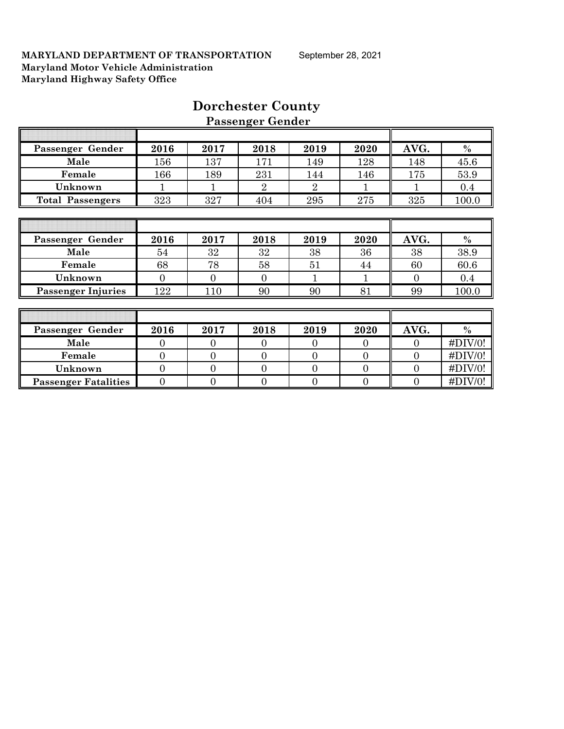| Passenger Gender            | 2016           | 2017           | 2018           | 2019           | 2020           | AVG.           | $\%$        |
|-----------------------------|----------------|----------------|----------------|----------------|----------------|----------------|-------------|
| Male                        | 156            | 137            | 171            | 149            | 128            | 148            | 45.6        |
| Female                      | 166            | 189            | 231            | 144            | 146            | 175            | 53.9        |
| Unknown                     |                |                | $\overline{2}$ | $\overline{2}$ |                |                | 0.4         |
| <b>Total Passengers</b>     | 323            | 327            | 404            | 295            | 275            | 325            | 100.0       |
|                             |                |                |                |                |                |                |             |
|                             |                |                |                |                |                |                |             |
| Passenger Gender            | 2016           | 2017           | 2018           | 2019           | 2020           | AVG.           | $\%$        |
| Male                        | 54             | 32             | 32             | 38             | 36             | 38             | 38.9        |
| Female                      | 68             | 78             | 58             | 51             | 44             | 60             | 60.6        |
| Unknown                     | $\Omega$       | $\Omega$       | $\Omega$       | 1              | 1              | $\Omega$       | 0.4         |
| <b>Passenger Injuries</b>   | 122            | 110            | 90             | 90             | 81             | 99             | 100.0       |
|                             |                |                |                |                |                |                |             |
|                             |                |                |                |                |                |                |             |
| Passenger Gender            | 2016           | 2017           | 2018           | 2019           | 2020           | AVG.           | $\%$        |
| Male                        | $\overline{0}$ | $\theta$       | $\overline{0}$ | $\overline{0}$ | $\theta$       | $\overline{0}$ | #DIV/0!     |
| Female                      | $\overline{0}$ | $\overline{0}$ | $\overline{0}$ | $\overline{0}$ | $\overline{0}$ | $\theta$       | #DIV/0!     |
| Unknown                     | $\overline{0}$ | $\overline{0}$ | $\overline{0}$ | $\overline{0}$ | $\overline{0}$ | $\overline{0}$ | $\#$ DIV/0! |
| <b>Passenger Fatalities</b> | $\overline{0}$ | $\overline{0}$ | $\overline{0}$ | $\overline{0}$ | 0              | $\theta$       | $\#$ DIV/0! |

# **Dorchester County Passenger Gender**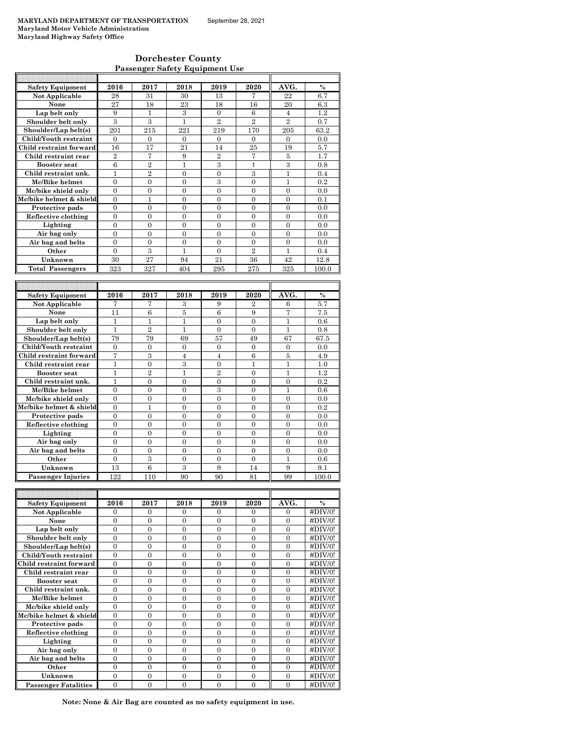| <b>Dorchester County</b>              |
|---------------------------------------|
| <b>Passenger Safety Equipment Use</b> |

| <b>Safety Equipment</b> | 2016           | 2017           | 2018           | 2019                    | 2020           | AVG.           | $\%$          |
|-------------------------|----------------|----------------|----------------|-------------------------|----------------|----------------|---------------|
| Not Applicable          | 28             | 31             | 30             | 13                      | 7              | 22             | 6.7           |
| None                    | 27             | 18             | 23             | 18                      | 16             | 20             | 6.3           |
| Lap belt only           | 9              | 1              | 3              | $\Omega$                | 6              | $\overline{4}$ | 1.2           |
| Shoulder belt only      | 3              | 3              | $\mathbf{1}$   | $\overline{2}$          | $\overline{2}$ | $\overline{2}$ | 0.7           |
| Shoulder/Lap belt(s)    | 201            | 215            | 221            | 219                     | 170            | 205            | 63.2          |
| Child/Youth restraint   | $\theta$       | $\theta$       | $\Omega$       | $\theta$                | $\theta$       | $\theta$       | 0.0           |
| Child restraint forward | 16             | 17             | 21             | 14                      | 25             | 19             | 5.7           |
| Child restraint rear    | $\overline{2}$ | 7              | 9              | $\overline{2}$          | 7              | $\overline{5}$ | 1.7           |
| <b>Booster</b> seat     | 6              | $\overline{2}$ | 1              | $\overline{\mathbf{3}}$ | 1              | 3              | 0.8           |
| Child restraint unk.    | $\mathbf{1}$   | $\overline{2}$ | $\Omega$       | $\mathbf{0}$            | 3              | $\mathbf{1}$   | 0.4           |
| Mc/Bike helmet          | $\theta$       | $\theta$       | $\Omega$       | 3                       | $\theta$       | $\mathbf{1}$   | 0.2           |
| Mc/bike shield only     | $\overline{0}$ | $\overline{0}$ | $\overline{0}$ | $\mathbf{0}$            | $\mathbf{0}$   | $\overline{0}$ | 0.0           |
| Mc/bike helmet & shield | $\theta$       | $\mathbf{1}$   | $\Omega$       | $\theta$                | $\theta$       | $\theta$       | 0.1           |
| Protective pads         | $\theta$       | $\theta$       | $\Omega$       | $\theta$                | $\theta$       | $\theta$       | 0.0           |
| Reflective clothing     | $\theta$       | $\theta$       | $\Omega$       | $\theta$                | $\theta$       | $\theta$       | 0.0           |
| Lighting                | $\theta$       | $\Omega$       | $\Omega$       | $\Omega$                | $\Omega$       | $\theta$       | 0.0           |
| Air bag only            | $\theta$       | $\theta$       | $\Omega$       | $\theta$                | $\theta$       | $\theta$       | 0.0           |
| Air bag and belts       | $\theta$       | $\theta$       | $\Omega$       | $\theta$                | $\theta$       | $\theta$       | 0.0           |
| Other                   | $\theta$       | $\overline{3}$ | 1              | $\Omega$                | $\overline{2}$ | 1              | 0.4           |
| Unknown                 | 30             | 27             | 94             | 21                      | 36             | 42             | 12.8          |
| <b>Total Passengers</b> | 323            | 327            | 404            | 295                     | 275            | 325            | 100.0         |
|                         |                |                |                |                         |                |                |               |
|                         |                |                |                |                         |                |                |               |
| <b>Safety Equipment</b> | 2016           | 2017           | 2018           | 2019                    | 2020           | AVG.           | $\frac{0}{0}$ |
| Not Applicable          | 7              | 7              | 3              | 9                       | $\overline{2}$ | 6              | 5.7           |
| None                    | 11             | 6              | 5              | 6                       | 9              | 7              | 7.5           |
| Lap belt only           | $\mathbf{1}$   | $\mathbf{1}$   | $\mathbf{1}$   | $\theta$                | $\theta$       | $\mathbf{1}$   | 0.6           |
| Shoulder belt only      | $\mathbf{1}$   | $\overline{2}$ | $\mathbf{1}$   | $\theta$                | $\theta$       | $\mathbf{1}$   | 0.8           |
| Shoulder/Lap belt(s)    | 79             | 79             | 69             | 57                      | 49             | 67             | 67.5          |
| Child/Youth restraint   | $\theta$       | $\theta$       | $\Omega$       | $\theta$                | $\theta$       | $\theta$       | 0.0           |
| Child restraint forward | 7              | 3              | $\overline{4}$ | $\overline{4}$          | 6              | $\overline{5}$ | 4.9           |

| shoulder/Lap belt(s)      | 79       | $\overline{1}$ | 69       | əт                          | 49       | 07       | 6.IO    |
|---------------------------|----------|----------------|----------|-----------------------------|----------|----------|---------|
| Child/Youth restraint     | $\Omega$ | $\Omega$       | 0        | $\Omega$                    | 0        | $\Omega$ | 0.0     |
| Child restraint forward   | 7        | 3              | 4        | 4                           | 6        | 5        | 4.9     |
| Child restraint rear      |          | $\Omega$       | 3        | $\Omega$                    |          |          | 1.0     |
| <b>Booster seat</b>       |          | $\overline{2}$ |          | $\mathcal{D}_{\mathcal{L}}$ | $\Omega$ |          | $1.2\,$ |
| Child restraint unk.      |          | $\Omega$       | $\Omega$ | $\Omega$                    | $\Omega$ | $\Omega$ | 0.2     |
| Mc/Bike helmet            | $\Omega$ | $\theta$       | $\Omega$ | 3                           | $\Omega$ |          | 0.6     |
| Mc/bike shield only       | $\Omega$ | $\Omega$       | $\Omega$ | $\Omega$                    | $\Omega$ | $\Omega$ | 0.0     |
| Mc/bike helmet & shield   | $\Omega$ |                | $\Omega$ | $\Omega$                    | $\Omega$ | $\Omega$ | 0.2     |
| Protective pads           | $\Omega$ | $\Omega$       | $\Omega$ | $\Omega$                    | $\Omega$ | $\Omega$ | 0.0     |
| Reflective clothing       | $\Omega$ | $\Omega$       | $\Omega$ | $\Omega$                    | $\Omega$ | $\Omega$ | 0.0     |
| Lighting                  | $\Omega$ | $\Omega$       | $\Omega$ | $\Omega$                    | $\Omega$ | $\Omega$ | 0.0     |
| Air bag only              | $\Omega$ | $\theta$       | $\Omega$ | $\Omega$                    | $\Omega$ | $\Omega$ | 0.0     |
| Air bag and belts         | $\Omega$ | $\Omega$       | $\Omega$ | $\Omega$                    | $\Omega$ | $\Omega$ | 0.0     |
| Other                     | $\Omega$ | 3              | $\Omega$ | $\Omega$                    | $\Omega$ |          | 0.6     |
| Unknown                   | 13       | 6              | 3        | 9                           | 14       | 9        | 9.1     |
| <b>Passenger Injuries</b> | 122      | 110            | 90       | 90                          | 81       | 99       | 100.0   |

| <b>Safety Equipment</b>     | 2016     | 2017     | 2018     | 2019     | 2020     | AVG.     | $\frac{0}{0}$ |
|-----------------------------|----------|----------|----------|----------|----------|----------|---------------|
| <b>Not Applicable</b>       | 0        | $\Omega$ | 0        | $\Omega$ | $\Omega$ | $\Omega$ | #DIV/0!       |
| None                        | $\Omega$ | $\Omega$ | $\Omega$ | $\Omega$ | $\Omega$ | $\Omega$ | $\#DIV/0!$    |
| Lap belt only               | $\theta$ | $\Omega$ | $\theta$ | $\Omega$ | $\Omega$ | $\Omega$ | #DIV/0!       |
| Shoulder belt only          | $\theta$ | $\theta$ | $\theta$ | $\Omega$ | $\Omega$ | $\Omega$ | #DIV/0!       |
| Shoulder/Lap belt(s)        | $\Omega$ | $\Omega$ | $\Omega$ | $\Omega$ | $\Omega$ | $\Omega$ | #DIV/0!       |
| Child/Youth restraint       | $\theta$ | 0        | $\theta$ | $\theta$ | $\theta$ | $\Omega$ | #DIV/0!       |
| Child restraint forward     | $\Omega$ | 0        | 0        | $\theta$ | $\Omega$ | $\Omega$ | $\#DIV/0!$    |
| Child restraint rear        | $\theta$ | $\Omega$ | $\Omega$ | $\Omega$ | $\Omega$ | $\Omega$ | #DIV/0!       |
| <b>Booster seat</b>         | $\Omega$ | $\Omega$ | $\theta$ | $\Omega$ | $\Omega$ | $\Omega$ | #DIV/0!       |
| Child restraint unk.        | 0        | 0        | 0        | $\theta$ | $\Omega$ | $\Omega$ | #DIV/0!       |
| Mc/Bike helmet              | $\Omega$ | 0        | $\theta$ | $\Omega$ | $\Omega$ | $\Omega$ | #DIV/0!       |
| Mc/bike shield only         | $\Omega$ | $\Omega$ | $\theta$ | $\theta$ | $\Omega$ | $\Omega$ | #DIV/0!       |
| Mc/bike helmet & shield     | $\Omega$ | $\Omega$ | $\theta$ | $\Omega$ | $\Omega$ | $\Omega$ | #DIV/0!       |
| Protective pads             | $\Omega$ | $\Omega$ | $\Omega$ | $\Omega$ | $\Omega$ | $\Omega$ | #DIV/0!       |
| Reflective clothing         | $\Omega$ | $\Omega$ | 0        | $\Omega$ | $\Omega$ | $\Omega$ | #DIV/0!       |
| Lighting                    | $\theta$ | $\Omega$ | $\theta$ | $\Omega$ | $\Omega$ | $\Omega$ | #DIV/0!       |
| Air bag only                | 0        | $\Omega$ | $\theta$ | $\Omega$ | $\Omega$ | $\Omega$ | #DIV/0!       |
| Air bag and belts           | 0        | 0        | 0        | 0        | $\theta$ | $\Omega$ | #DIV/0!       |
| Other                       | $\Omega$ | $\Omega$ | 0        | $\Omega$ | $\Omega$ | $\Omega$ | $\#$ DIV/0!   |
| Unknown                     | $\Omega$ | $\Omega$ | $\Omega$ | $\Omega$ | $\Omega$ | $\Omega$ | #DIV/0!       |
| <b>Passenger Fatalities</b> | 0        | 0        | 0        | $\theta$ | $\Omega$ | $\Omega$ | $\#$ DIV/0!   |

**Note: None & Air Bag are counted as no safety equipment in use.**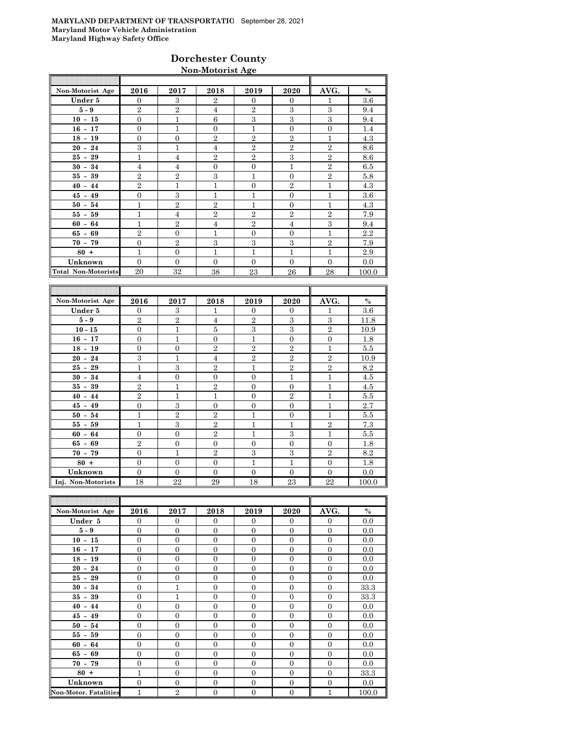# **Dorchester County Non-Motorist Age**

| Non-Motorist Age           | 2016           | 2017           | 2018           | 2019           | 2020           | AVG.           | $\%$  |
|----------------------------|----------------|----------------|----------------|----------------|----------------|----------------|-------|
| Under 5                    | $\Omega$       | $\mathcal{S}$  | $\overline{2}$ | $\Omega$       | $\overline{0}$ | 1              | 3.6   |
| $5-9$                      | $\overline{2}$ | $\overline{2}$ | $\overline{4}$ | $\overline{2}$ | 3              | 3              | 9.4   |
| $10 - 15$                  | $\overline{0}$ | $\mathbf{1}$   | 6              | 3              | 3              | 3              | 9.4   |
| $16 - 17$                  | $\mathbf{0}$   | $\mathbf{1}$   | $\Omega$       | 1              | $\overline{0}$ | $\theta$       | 1.4   |
| $18 - 19$                  | $\overline{0}$ | $\mathbf{0}$   | $\overline{2}$ | $\overline{2}$ | $\overline{2}$ | 1              | 4.3   |
| $20 - 24$                  | 3              | $\mathbf{1}$   | $\overline{4}$ | $\overline{2}$ | $\overline{2}$ | $\overline{2}$ | 8.6   |
| $25 - 29$                  | $\mathbf{1}$   | $\overline{4}$ | $\overline{2}$ | $\overline{2}$ | 3              | $\overline{2}$ | 8.6   |
| $30 - 34$                  | $\overline{4}$ | $\overline{4}$ | $\Omega$       | $\mathbf{0}$   | $\overline{1}$ | $\overline{2}$ | 6.5   |
| $35 - 39$                  | $\overline{2}$ | $\overline{2}$ | 3              | 1              | $\overline{0}$ | $\overline{2}$ | 5.8   |
| $40 - 44$                  | $\overline{2}$ | 1              | 1              | $\overline{0}$ | $\overline{2}$ | 1              | 4.3   |
| $45 - 49$                  | $\overline{0}$ | 3              | 1              | 1              | $\mathbf{0}$   | 1              | 3.6   |
| $50 - 54$                  | $\overline{1}$ | $\overline{2}$ | $\overline{2}$ | 1              | $\overline{0}$ | $\mathbf{1}$   | 4.3   |
| $55 - 59$                  | 1              | 4              | $\overline{2}$ | $\overline{2}$ | $\overline{2}$ | $\overline{2}$ | 7.9   |
| $60 - 64$                  | $\overline{1}$ | $\overline{2}$ | 4              | $\mathbf{2}$   | $\overline{4}$ | 3              | 9.4   |
| $65 - 69$                  | $\overline{2}$ | $\Omega$       | 1              | $\Omega$       | $\mathbf{0}$   | 1              | 2.2   |
| $70 - 79$                  | $\mathbf{0}$   | $\overline{2}$ | 3              | 3              | 3              | $\overline{2}$ | 7.9   |
| $80 +$                     | $\mathbf{1}$   | $\mathbf{0}$   | $\mathbf{1}$   | 1              | $\overline{1}$ | 1              | 2.9   |
| Unknown                    | $\Omega$       | $\Omega$       | $\Omega$       | $\Omega$       | $\Omega$       | $\Omega$       | 0.0   |
| <b>Total Non-Motorists</b> | 20             | 32             | 38             | 23             | 26             | 28             | 100.0 |

| Non-Motorist Age   | 2016           | 2017           | 2018           | 2019           | 2020           | AVG.           | $\%$  |
|--------------------|----------------|----------------|----------------|----------------|----------------|----------------|-------|
| Under 5            | $\overline{0}$ | 3              | 1              | $\mathbf{0}$   | $\overline{0}$ | 1              | 3.6   |
| $5-9$              | $\overline{2}$ | $\overline{2}$ | $\overline{4}$ | $\overline{2}$ | 3              | 3              | 11.8  |
| $10 - 15$          | $\overline{0}$ | $\mathbf{1}$   | 5              | 3              | 3              | $\overline{2}$ | 10.9  |
| $16 - 17$          | 0              | $\mathbf{1}$   | $\overline{0}$ | 1              | $\mathbf{0}$   | $\overline{0}$ | 1.8   |
| $18 - 19$          | $\overline{0}$ | $\overline{0}$ | $\overline{2}$ | $\overline{2}$ | $\overline{2}$ | $\mathbf{1}$   | 5.5   |
| $20 - 24$          | 3              | $\mathbf{1}$   | $\overline{4}$ | $\overline{2}$ | $\overline{2}$ | $\overline{2}$ | 10.9  |
| $25 - 29$          | $\overline{1}$ | 3              | $\overline{2}$ | 1              | $\overline{2}$ | $\overline{2}$ | 8.2   |
| $30 - 34$          | $\overline{4}$ | $\overline{0}$ | $\overline{0}$ | $\mathbf{0}$   | $\mathbf{1}$   | $\mathbf{1}$   | 4.5   |
| $35 - 39$          | $\overline{2}$ | $\overline{1}$ | $\overline{2}$ | $\overline{0}$ | $\overline{0}$ | $\mathbf{1}$   | 4.5   |
| $40 - 44$          | $\overline{2}$ | $\mathbf{1}$   | 1              | $\overline{0}$ | $\overline{2}$ | 1              | 5.5   |
| $45 - 49$          | $\overline{0}$ | 3              | $\Omega$       | $\overline{0}$ | $\overline{0}$ | $\mathbf{1}$   | 2.7   |
| $50 - 54$          | 1              | $\overline{2}$ | $\overline{2}$ | 1              | $\overline{0}$ | $\mathbf{1}$   | 5.5   |
| $55 - 59$          | $\mathbf{1}$   | 3              | $\overline{2}$ | 1              | 1              | $\overline{2}$ | 7.3   |
| $60 -$<br>64       | $\overline{0}$ | $\mathbf{0}$   | $\overline{2}$ | 1              | 3              | $\mathbf 1$    | 5.5   |
| $65 - 69$          | $\overline{2}$ | $\overline{0}$ | $\Omega$       | $\Omega$       | $\overline{0}$ | $\Omega$       | 1.8   |
| $70 - 79$          | $\mathbf{0}$   | $\overline{1}$ | $\overline{2}$ | 3              | 3              | $\overline{2}$ | 8.2   |
| $80 +$             | $\overline{0}$ | $\overline{0}$ | $\overline{0}$ | 1              | $\mathbf{1}$   | $\overline{0}$ | 1.8   |
| Unknown            | $\Omega$       | $\mathbf{0}$   | $\Omega$       | $\mathbf{0}$   | $\overline{0}$ | $\Omega$       | 0.0   |
| Inj. Non-Motorists | 18             | 22             | 29             | 18             | 23             | 22             | 100.0 |

| Non-Motorist Age             | 2016           | 2017           | 2018           | 2019           | 2020             | AVG.           | $\%$  |
|------------------------------|----------------|----------------|----------------|----------------|------------------|----------------|-------|
| Under 5                      | $\Omega$       | $\overline{0}$ | $\Omega$       | $\Omega$       | $\Omega$         | $\Omega$       | 0.0   |
| $5 - 9$                      | $\overline{0}$ | $\overline{0}$ | $\overline{0}$ | $\mathbf{0}$   | $\overline{0}$   | $\mathbf{0}$   | 0.0   |
| $10 - 15$                    | $\mathbf{0}$   | $\overline{0}$ | $\overline{0}$ | $\mathbf{0}$   | $\overline{0}$   | $\mathbf{0}$   | 0.0   |
| $16 - 17$                    | $\overline{0}$ | $\overline{0}$ | $\overline{0}$ | $\overline{0}$ | $\overline{0}$   | $\mathbf{0}$   | 0.0   |
| $18 - 19$                    | $\theta$       | $\overline{0}$ | $\theta$       | $\overline{0}$ | $\overline{0}$   | $\overline{0}$ | 0.0   |
| $20 - 24$                    | $\Omega$       | $\overline{0}$ | $\Omega$       | $\Omega$       | $\overline{0}$   | $\Omega$       | 0.0   |
| $25 - 29$                    | $\mathbf{0}$   | $\overline{0}$ | $\overline{0}$ | $\overline{0}$ | $\overline{0}$   | $\overline{0}$ | 0.0   |
| $30 - 34$                    | $\overline{0}$ | $\mathbf{1}$   | $\overline{0}$ | $\overline{0}$ | $\overline{0}$   | $\overline{0}$ | 33.3  |
| $35 - 39$                    | $\mathbf{0}$   | $\overline{1}$ | $\overline{0}$ | $\overline{0}$ | $\overline{0}$   | $\mathbf{0}$   | 33.3  |
| $40 - 44$                    | $\theta$       | $\overline{0}$ | $\theta$       | $\overline{0}$ | $\overline{0}$   | $\overline{0}$ | 0.0   |
| $45 - 49$                    | $\Omega$       | $\overline{0}$ | $\Omega$       | $\Omega$       | $\Omega$         | $\Omega$       | 0.0   |
| $50 - 54$                    | $\mathbf{0}$   | $\overline{0}$ | $\overline{0}$ | $\overline{0}$ | $\overline{0}$   | $\overline{0}$ | 0.0   |
| $55 - 59$                    | $\overline{0}$ | $\overline{0}$ | $\overline{0}$ | $\overline{0}$ | $\overline{0}$   | $\overline{0}$ | 0.0   |
| $60 - 64$                    | $\mathbf{0}$   | $\overline{0}$ | $\overline{0}$ | $\overline{0}$ | $\overline{0}$   | $\mathbf{0}$   | 0.0   |
| $65 - 69$                    | $\overline{0}$ | $\mathbf{0}$   | $\overline{0}$ | $\overline{0}$ | $\overline{0}$   | $\overline{0}$ | 0.0   |
| $70 - 79$                    | $\Omega$       | $\overline{0}$ | $\Omega$       | $\Omega$       | $\Omega$         | $\Omega$       | 0.0   |
| $80 +$                       | 1              | $\overline{0}$ | $\Omega$       | $\mathbf{0}$   | $\overline{0}$   | $\Omega$       | 33.3  |
| Unknown                      | $\overline{0}$ | $\overline{0}$ | $\overline{0}$ | $\overline{0}$ | $\boldsymbol{0}$ | $\overline{0}$ | 0.0   |
| <b>Non-Motor. Fatalities</b> | $\mathbf{1}$   | $\overline{2}$ | $\overline{0}$ | $\mathbf{0}$   | $\boldsymbol{0}$ | $\mathbf{1}$   | 100.0 |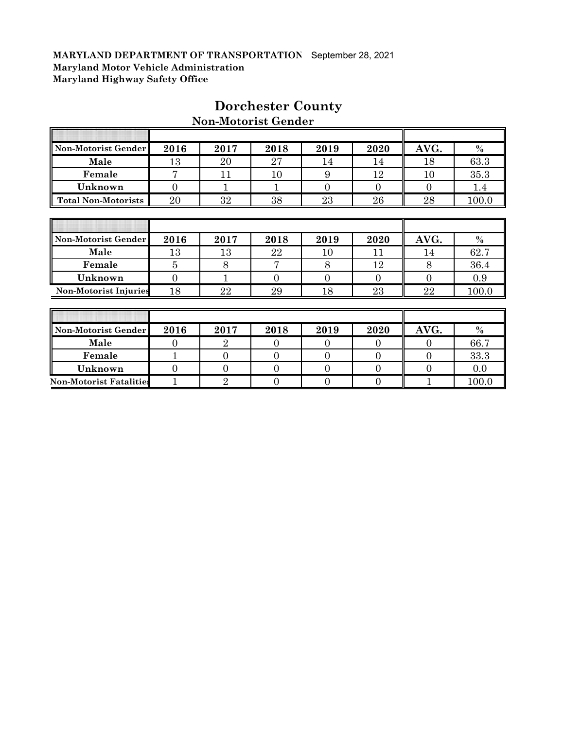Ī

| Non-Motorist Gender            | 2016           | 2017           | 2018           | 2019           | 2020           | AVG.           | $\%$    |
|--------------------------------|----------------|----------------|----------------|----------------|----------------|----------------|---------|
| Male                           | 13             | 20             | 27             | 14             | 14             | 18             | 63.3    |
| Female                         | 7              | 11             | 10             | 9              | 12             | 10             | 35.3    |
| Unknown                        | $\overline{0}$ | 1              |                | $\Omega$       | $\Omega$       | $\Omega$       | $1.4\,$ |
| <b>Total Non-Motorists</b>     | 20             | 32             | 38             | 23             | 26             | 28             | 100.0   |
|                                |                |                |                |                |                |                |         |
|                                |                |                |                |                |                |                |         |
| Non-Motorist Gender            | 2016           | 2017           | 2018           | 2019           | 2020           | AVG.           | $\%$    |
| Male                           | 13             | 13             | 22             | 10             | 11             | 14             | 62.7    |
| Female                         | $\overline{5}$ | 8              | 7              | 8              | 12             | 8              | 36.4    |
| Unknown                        | $\overline{0}$ | 1              | $\overline{0}$ | $\overline{0}$ | $\overline{0}$ | $\overline{0}$ | 0.9     |
| <b>Non-Motorist Injuries</b>   | 18             | 22             | 29             | 18             | 23             | 22             | 100.0   |
|                                |                |                |                |                |                |                |         |
|                                |                |                |                |                |                |                |         |
| Non-Motorist Gender            | 2016           | 2017           | 2018           | 2019           | 2020           | AVG.           | $\%$    |
| Male                           | $\Omega$       | $\overline{2}$ | 0              | $\Omega$       | $\Omega$       | $\Omega$       | 66.7    |
| Female                         | $\mathbf{1}$   | $\overline{0}$ | $\overline{0}$ | $\overline{0}$ | $\overline{0}$ | $\overline{0}$ | 33.3    |
| Unknown                        | $\overline{0}$ | $\overline{0}$ | $\overline{0}$ | $\overline{0}$ | $\mathbf{0}$   | $\overline{0}$ | 0.0     |
| <b>Non-Motorist Fatalities</b> | 1              | $\overline{2}$ | 0              | $\overline{0}$ | $\mathbf{0}$   | 1              | 100.0   |

# **Dorchester County**

 $\overline{\mathbb{T}}$ 

╗

**Non-Motorist Gender**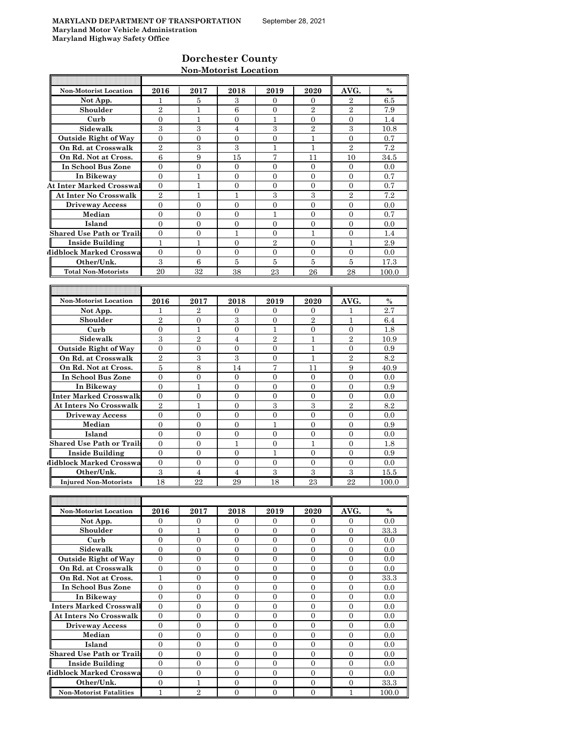# **Dorchester County Non-Motorist Location**

| Non-Motorist Location            | 2016                             | 2017                           | 2018             | 2019                             | 2020             | AVG.             | $\%$    |
|----------------------------------|----------------------------------|--------------------------------|------------------|----------------------------------|------------------|------------------|---------|
| Not App.                         | 1                                | 5                              | 3                | 0                                | 0                | 2                | 6.5     |
| Shoulder                         | $\overline{2}$                   | $\mathbf{1}$                   | 6                | $\overline{0}$                   | $\overline{2}$   | $\overline{2}$   | 7.9     |
| Curb                             | 0                                | 1                              | $\boldsymbol{0}$ | $\mathbf{1}$                     | 0                | 0                | 1.4     |
| Sidewalk                         | 3                                | 3                              | $\overline{4}$   | 3                                | $\overline{2}$   | 3                | 10.8    |
| <b>Outside Right of Way</b>      | $\overline{0}$                   | $\overline{0}$                 | $\overline{0}$   | $\overline{0}$                   | $\mathbf{1}$     | $\overline{0}$   | 0.7     |
| On Rd. at Crosswalk              | $\overline{2}$                   | $\,3$                          | 3                | $\mathbf{1}$                     | 1                | $\overline{2}$   | 7.2     |
| On Rd. Not at Cross.             | 6                                | 9                              | 15               | 7                                | 11               | 10               | 34.5    |
| In School Bus Zone               | $\overline{0}$                   | $\overline{0}$                 | $\theta$         | $\overline{0}$                   | $\overline{0}$   | $\overline{0}$   | 0.0     |
|                                  |                                  |                                |                  |                                  |                  |                  |         |
| In Bikeway                       | $\overline{0}$                   | 1                              | $\overline{0}$   | $\overline{0}$                   | $\overline{0}$   | $\overline{0}$   | 0.7     |
| <b>At Inter Marked Crosswal</b>  | $\overline{0}$                   | 1                              | $\mathbf{0}$     | $\overline{0}$                   | $\overline{0}$   | $\overline{0}$   | 0.7     |
| At Inter No Crosswalk            | $\overline{2}$                   | 1                              | 1                | 3                                | 3                | $\overline{2}$   | 7.2     |
| <b>Driveway Access</b>           | $\overline{0}$                   | $\overline{0}$                 | $\overline{0}$   | $\overline{0}$                   | $\overline{0}$   | $\overline{0}$   | 0.0     |
| Median                           | $\overline{0}$                   | $\overline{0}$                 | $\overline{0}$   | $\mathbf{1}$                     | $\overline{0}$   | $\overline{0}$   | 0.7     |
| Island                           | $\overline{0}$                   | $\overline{0}$                 | $\overline{0}$   | $\overline{0}$                   | $\theta$         | $\Omega$         | 0.0     |
| <b>Shared Use Path or Trails</b> | $\overline{0}$                   | $\overline{0}$                 | 1                | $\overline{0}$                   | 1                | $\overline{0}$   | 1.4     |
| <b>Inside Building</b>           | 1                                | 1                              | $\overline{0}$   | $\overline{2}$                   | $\overline{0}$   | 1                | 2.9     |
| Midblock Marked Crosswa          | $\overline{0}$                   | $\mathbf{0}$                   | $\theta$         | $\overline{0}$                   | $\overline{0}$   | $\overline{0}$   | 0.0     |
| Other/Unk.                       | 3                                | 6                              | 5                | 5                                | 5                | 5                | 17.3    |
| <b>Total Non-Motorists</b>       | 20                               | 32                             | 38               | 23                               | 26               | 28               | 100.0   |
|                                  |                                  |                                |                  |                                  |                  |                  |         |
|                                  |                                  |                                |                  |                                  |                  |                  |         |
| <b>Non-Motorist Location</b>     | 2016                             | 2017                           | 2018             | 2019                             | 2020             | AVG.             | $\%$    |
| Not App.                         | 1                                | $\overline{2}$                 | 0                | 0                                | 0                | ı                | 2.7     |
| Shoulder                         | 2                                | $\mathbf{0}$                   | 3                | 0                                | $\overline{2}$   | 1                |         |
| Curb                             |                                  |                                |                  |                                  |                  |                  | 6.4     |
|                                  | $\overline{0}$                   | $\mathbf{1}$                   | $\mathbf{0}$     | 1                                | $\overline{0}$   | $\overline{0}$   | 1.8     |
| Sidewalk                         | 3                                | $\overline{2}$                 | 4                | $\overline{2}$                   | 1                | $\overline{2}$   | 10.9    |
| <b>Outside Right of Way</b>      | $\overline{0}$                   | $\overline{0}$                 | $\mathbf{0}$     | $\overline{0}$                   | 1                | $\overline{0}$   | 0.9     |
| On Rd. at Crosswalk              | $\overline{2}$                   | 3                              | 3                | $\overline{0}$                   | $\mathbf{1}$     | $\overline{2}$   | 8.2     |
| On Rd. Not at Cross.             | 5                                | 8                              | 14               | 7                                | 11               | 9                | 40.9    |
| In School Bus Zone               | $\overline{0}$                   | $\overline{0}$                 | $\overline{0}$   | $\overline{0}$                   | $\overline{0}$   | $\overline{0}$   | 0.0     |
| In Bikeway                       | $\theta$                         | 1                              | $\Omega$         | $\Omega$                         | $\theta$         | $\Omega$         | 0.9     |
| Inter Marked Crosswalk           | $\overline{0}$                   | $\boldsymbol{0}$               | $\boldsymbol{0}$ | $\overline{0}$                   | $\overline{0}$   | $\overline{0}$   | 0.0     |
| <b>At Inters No Crosswalk</b>    | $\overline{2}$                   | 1                              | $\overline{0}$   | 3                                | 3                | $\overline{2}$   | 8.2     |
| <b>Driveway Access</b>           | $\overline{0}$                   | $\mathbf{0}$                   | $\mathbf{0}$     | $\overline{0}$                   | $\overline{0}$   | $\overline{0}$   | 0.0     |
| Median                           | $\overline{0}$                   | $\mathbf{0}$                   | $\mathbf{0}$     | $\mathbf{1}$                     | $\overline{0}$   | $\overline{0}$   | 0.9     |
| Island                           | $\overline{0}$                   | $\overline{0}$                 | $\mathbf{0}$     | $\overline{0}$                   | $\overline{0}$   | $\overline{0}$   | 0.0     |
| <b>Shared Use Path or Trails</b> | 0                                | 0                              | 1                | $\boldsymbol{0}$                 | 1                | 0                | 1.8     |
| <b>Inside Building</b>           | $\overline{0}$                   | $\overline{0}$                 | $\overline{0}$   | 1                                | $\overline{0}$   | $\overline{0}$   | 0.9     |
| Midblock Marked Crosswa          | $\overline{0}$                   | $\overline{0}$                 | $\overline{0}$   | $\overline{0}$                   | $\overline{0}$   | $\overline{0}$   | 0.0     |
| Other/Unk.                       | 3                                | $\overline{4}$                 | $\overline{4}$   | 3                                | 3                | 3                | 15.5    |
|                                  |                                  |                                |                  |                                  |                  |                  |         |
| <b>Injured Non-Motorists</b>     | 18                               | 22                             | 29               | 18                               | 23               | 22               | 100.0   |
|                                  |                                  |                                |                  |                                  |                  |                  |         |
|                                  |                                  |                                |                  |                                  |                  |                  |         |
| Non-Motorist Location            | 2016                             | 2017                           | 2018             | 2019                             | 2020             | AVG.             | $\%$    |
| Not App.                         | 0                                | $\boldsymbol{0}$               | $\mathbf{0}$     | 0                                | 0                | 0                | 0.0     |
| Shoulder                         | $\overline{0}$                   | 1                              | $\overline{0}$   | $\overline{0}$                   | $\overline{0}$   | $\overline{0}$   | 33.3    |
| Curb                             | $\boldsymbol{0}$                 | $\boldsymbol{0}$               | $\mathbf{0}$     | $\overline{0}$                   | $\overline{0}$   | $\overline{0}$   | 0.0     |
| Sidewalk                         | $\boldsymbol{0}$                 | 0                              | 0                | 0                                | 0                | $\overline{0}$   | $0.0\,$ |
| <b>Outside Right of Way</b>      | $\boldsymbol{0}$                 | $\boldsymbol{0}$               | $\overline{0}$   | 0                                | $\boldsymbol{0}$ | $\mathbf{0}$     | 0.0     |
| On Rd. at Crosswalk              | $\overline{0}$                   | $\overline{0}$                 | $\overline{0}$   | $\overline{0}$                   | $\overline{0}$   | $\overline{0}$   | 0.0     |
| On Rd. Not at Cross.             | $\mathbf{1}$                     | $\mathbf{0}$                   | $\mathbf{0}$     | $\overline{0}$                   | $\boldsymbol{0}$ | $\boldsymbol{0}$ | 33.3    |
| In School Bus Zone               | $\boldsymbol{0}$                 | $\boldsymbol{0}$               | $\overline{0}$   | 0                                | $\boldsymbol{0}$ | $\mathbf{0}$     | 0.0     |
| In Bikeway                       | $\overline{0}$                   | $\boldsymbol{0}$               | $\overline{0}$   | 0                                | $\overline{0}$   | $\overline{0}$   | 0.0     |
| <b>Inters Marked Crosswall</b>   | $\boldsymbol{0}$                 | $\mathbf{0}$                   | $\mathbf{0}$     | $\boldsymbol{0}$                 | $\overline{0}$   | $\boldsymbol{0}$ | 0.0     |
| At Inters No Crosswalk           | $\overline{0}$                   | $\overline{0}$                 | 0                | $\overline{0}$                   | $\overline{0}$   | $\overline{0}$   | 0.0     |
| <b>Driveway Access</b>           | $\boldsymbol{0}$                 | $\mathbf{0}$                   | $\mathbf{0}$     | 0                                | $\boldsymbol{0}$ | $\boldsymbol{0}$ | 0.0     |
| Median                           | $\overline{0}$                   | $\overline{0}$                 | $\overline{0}$   | $\overline{0}$                   | $\overline{0}$   | $\mathbf{0}$     | 0.0     |
|                                  |                                  |                                |                  |                                  |                  |                  |         |
| Island                           | $\boldsymbol{0}$                 | $\mathbf{0}$                   | $\mathbf{0}$     | $\overline{0}$                   | $\boldsymbol{0}$ | $\mathbf{0}$     | 0.0     |
| <b>Shared Use Path or Trails</b> | 0                                | $\boldsymbol{0}$               | $\overline{0}$   | 0                                | $\boldsymbol{0}$ | $\mathbf{0}$     | 0.0     |
| <b>Inside Building</b>           | $\overline{0}$<br>$\overline{0}$ | $\mathbf{0}$<br>$\overline{0}$ | $\overline{0}$   | $\overline{0}$<br>$\overline{0}$ | $\boldsymbol{0}$ | $\boldsymbol{0}$ | 0.0     |
| Midblock Marked Crosswa          |                                  |                                | $\overline{0}$   |                                  | $\overline{0}$   | $\overline{0}$   | 0.0     |

**Other/Unk.** 0 1 0 0 0 0 33.3 **Non-Motorist Fatalities** 1 2 0 0 0 1 1 100.0